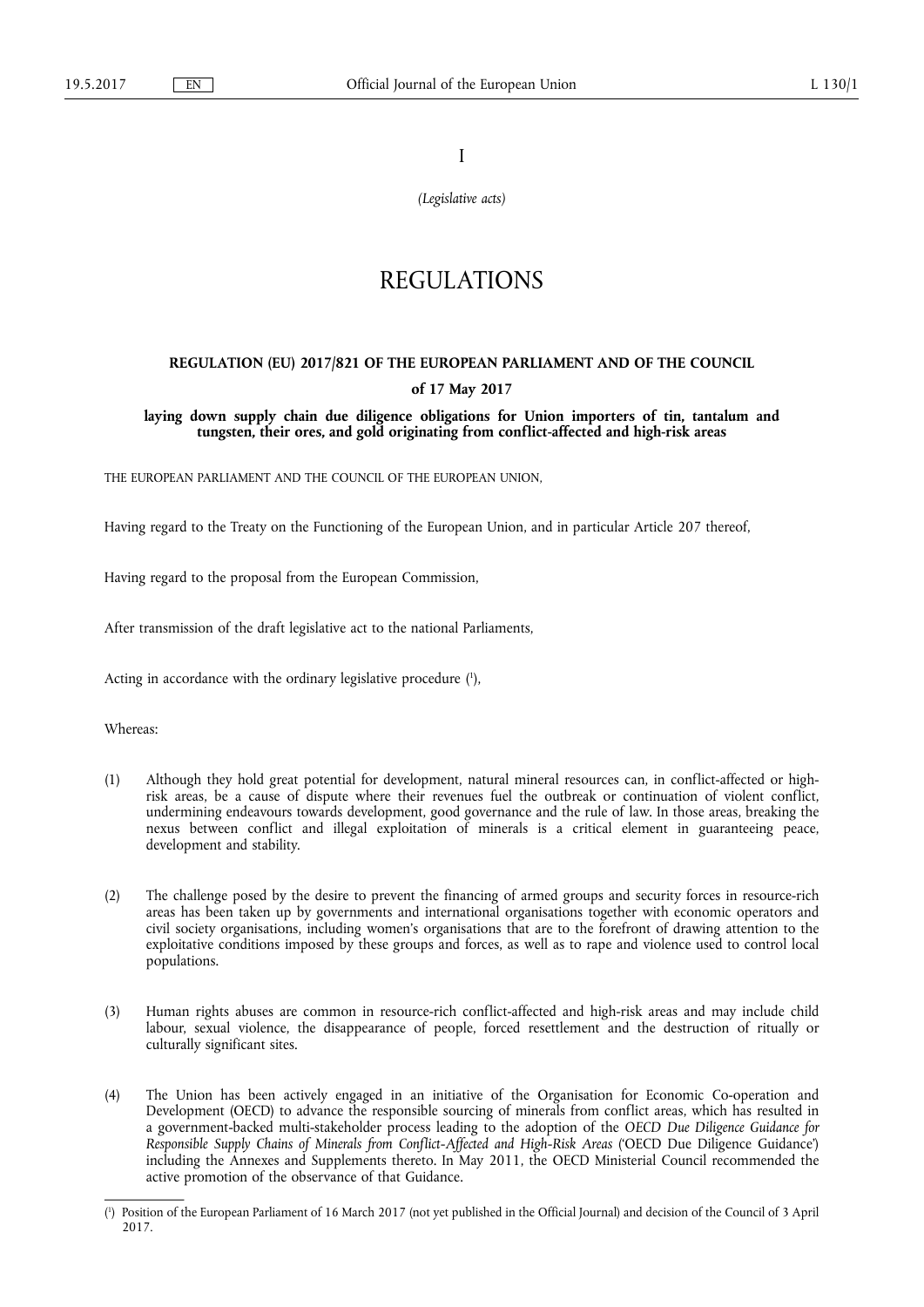I

*(Legislative acts)* 

# REGULATIONS

## **REGULATION (EU) 2017/821 OF THE EUROPEAN PARLIAMENT AND OF THE COUNCIL**

## **of 17 May 2017**

**laying down supply chain due diligence obligations for Union importers of tin, tantalum and tungsten, their ores, and gold originating from conflict-affected and high-risk areas** 

THE EUROPEAN PARLIAMENT AND THE COUNCIL OF THE EUROPEAN UNION,

Having regard to the Treaty on the Functioning of the European Union, and in particular Article 207 thereof,

Having regard to the proposal from the European Commission,

After transmission of the draft legislative act to the national Parliaments,

Acting in accordance with the ordinary legislative procedure ( 1 ),

Whereas:

- (1) Although they hold great potential for development, natural mineral resources can, in conflict-affected or highrisk areas, be a cause of dispute where their revenues fuel the outbreak or continuation of violent conflict, undermining endeavours towards development, good governance and the rule of law. In those areas, breaking the nexus between conflict and illegal exploitation of minerals is a critical element in guaranteeing peace, development and stability.
- (2) The challenge posed by the desire to prevent the financing of armed groups and security forces in resource-rich areas has been taken up by governments and international organisations together with economic operators and civil society organisations, including women's organisations that are to the forefront of drawing attention to the exploitative conditions imposed by these groups and forces, as well as to rape and violence used to control local populations.
- (3) Human rights abuses are common in resource-rich conflict-affected and high-risk areas and may include child labour, sexual violence, the disappearance of people, forced resettlement and the destruction of ritually or culturally significant sites.
- (4) The Union has been actively engaged in an initiative of the Organisation for Economic Co-operation and Development (OECD) to advance the responsible sourcing of minerals from conflict areas, which has resulted in a government-backed multi-stakeholder process leading to the adoption of the *OECD Due Diligence Guidance for Responsible Supply Chains of Minerals from Conflict-Affected and High-Risk Areas* ('OECD Due Diligence Guidance') including the Annexes and Supplements thereto. In May 2011, the OECD Ministerial Council recommended the active promotion of the observance of that Guidance.

<sup>(</sup> 1 ) Position of the European Parliament of 16 March 2017 (not yet published in the Official Journal) and decision of the Council of 3 April 2017.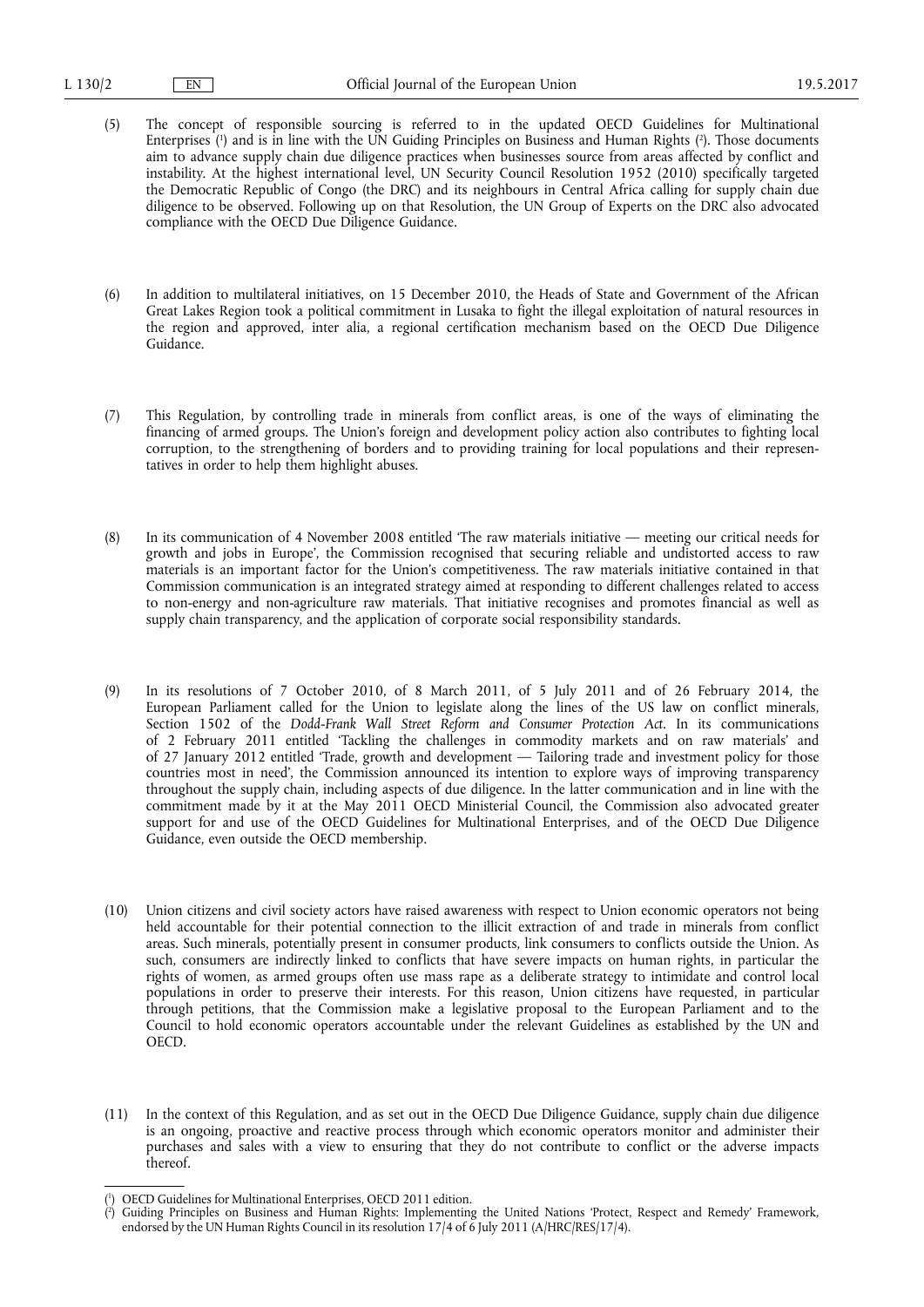- (5) The concept of responsible sourcing is referred to in the updated OECD Guidelines for Multinational Enterprises ( 1 ) and is in line with the UN Guiding Principles on Business and Human Rights ( 2 ). Those documents aim to advance supply chain due diligence practices when businesses source from areas affected by conflict and instability. At the highest international level, UN Security Council Resolution 1952 (2010) specifically targeted the Democratic Republic of Congo (the DRC) and its neighbours in Central Africa calling for supply chain due diligence to be observed. Following up on that Resolution, the UN Group of Experts on the DRC also advocated compliance with the OECD Due Diligence Guidance.
- (6) In addition to multilateral initiatives, on 15 December 2010, the Heads of State and Government of the African Great Lakes Region took a political commitment in Lusaka to fight the illegal exploitation of natural resources in the region and approved, inter alia, a regional certification mechanism based on the OECD Due Diligence Guidance.
- (7) This Regulation, by controlling trade in minerals from conflict areas, is one of the ways of eliminating the financing of armed groups. The Union's foreign and development policy action also contributes to fighting local corruption, to the strengthening of borders and to providing training for local populations and their representatives in order to help them highlight abuses.
- (8) In its communication of 4 November 2008 entitled 'The raw materials initiative meeting our critical needs for growth and jobs in Europe', the Commission recognised that securing reliable and undistorted access to raw materials is an important factor for the Union's competitiveness. The raw materials initiative contained in that Commission communication is an integrated strategy aimed at responding to different challenges related to access to non-energy and non-agriculture raw materials. That initiative recognises and promotes financial as well as supply chain transparency, and the application of corporate social responsibility standards.
- (9) In its resolutions of 7 October 2010, of 8 March 2011, of 5 July 2011 and of 26 February 2014, the European Parliament called for the Union to legislate along the lines of the US law on conflict minerals, Section 1502 of the *Dodd-Frank Wall Street Reform and Consumer Protection Act*. In its communications of 2 February 2011 entitled 'Tackling the challenges in commodity markets and on raw materials' and of 27 January 2012 entitled 'Trade, growth and development — Tailoring trade and investment policy for those countries most in need', the Commission announced its intention to explore ways of improving transparency throughout the supply chain, including aspects of due diligence. In the latter communication and in line with the commitment made by it at the May 2011 OECD Ministerial Council, the Commission also advocated greater support for and use of the OECD Guidelines for Multinational Enterprises, and of the OECD Due Diligence Guidance, even outside the OECD membership.
- (10) Union citizens and civil society actors have raised awareness with respect to Union economic operators not being held accountable for their potential connection to the illicit extraction of and trade in minerals from conflict areas. Such minerals, potentially present in consumer products, link consumers to conflicts outside the Union. As such, consumers are indirectly linked to conflicts that have severe impacts on human rights, in particular the rights of women, as armed groups often use mass rape as a deliberate strategy to intimidate and control local populations in order to preserve their interests. For this reason, Union citizens have requested, in particular through petitions, that the Commission make a legislative proposal to the European Parliament and to the Council to hold economic operators accountable under the relevant Guidelines as established by the UN and OECD.
- (11) In the context of this Regulation, and as set out in the OECD Due Diligence Guidance, supply chain due diligence is an ongoing, proactive and reactive process through which economic operators monitor and administer their purchases and sales with a view to ensuring that they do not contribute to conflict or the adverse impacts thereof.

<sup>(</sup> 1 ) OECD Guidelines for Multinational Enterprises, OECD 2011 edition.

<sup>(</sup> 2 ) Guiding Principles on Business and Human Rights: Implementing the United Nations 'Protect, Respect and Remedy' Framework, endorsed by the UN Human Rights Council in its resolution 17/4 of 6 July 2011 (A/HRC/RES/17/4).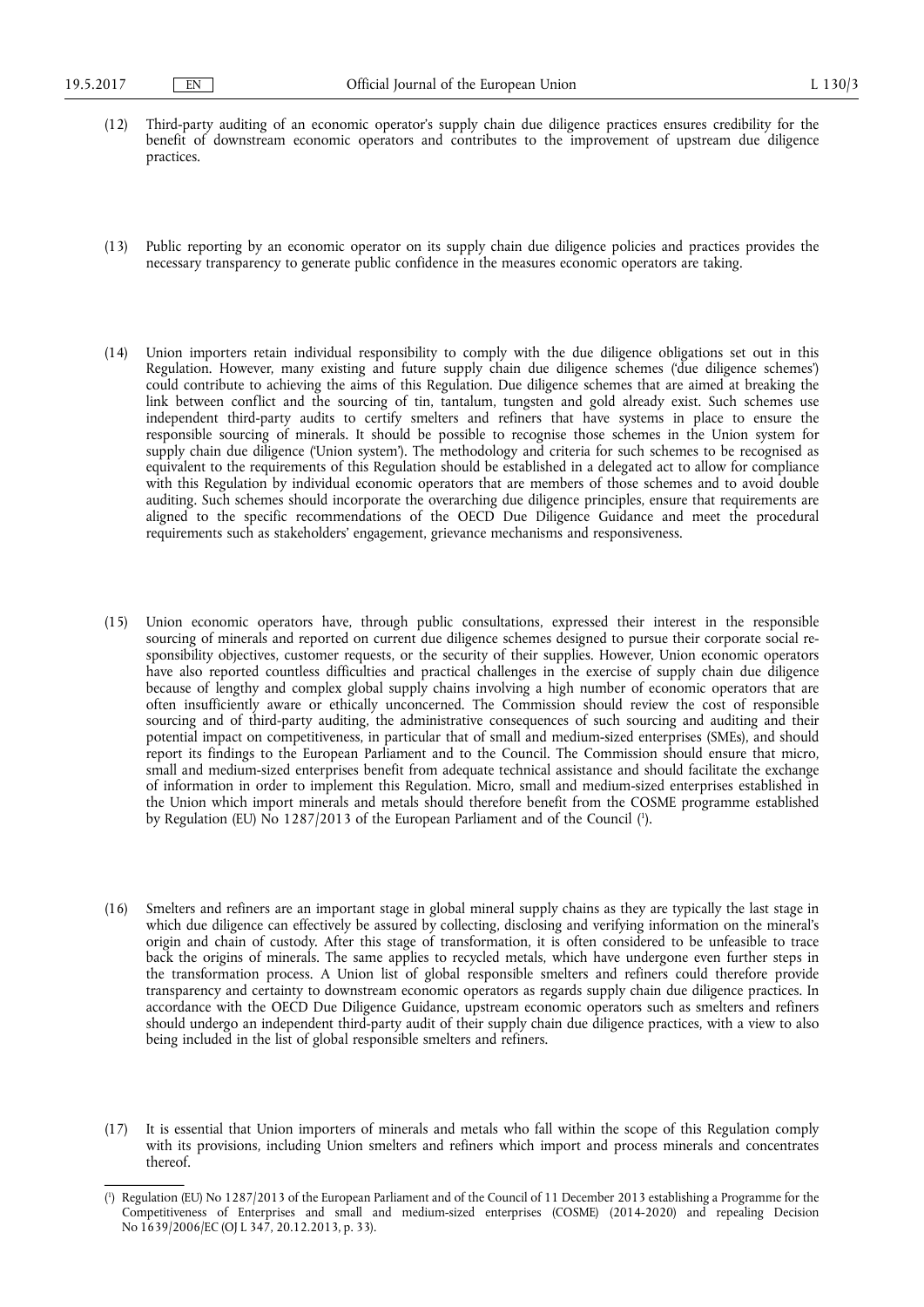- (12) Third-party auditing of an economic operator's supply chain due diligence practices ensures credibility for the benefit of downstream economic operators and contributes to the improvement of upstream due diligence practices.
- (13) Public reporting by an economic operator on its supply chain due diligence policies and practices provides the necessary transparency to generate public confidence in the measures economic operators are taking.
- (14) Union importers retain individual responsibility to comply with the due diligence obligations set out in this Regulation. However, many existing and future supply chain due diligence schemes ('due diligence schemes') could contribute to achieving the aims of this Regulation. Due diligence schemes that are aimed at breaking the link between conflict and the sourcing of tin, tantalum, tungsten and gold already exist. Such schemes use independent third-party audits to certify smelters and refiners that have systems in place to ensure the responsible sourcing of minerals. It should be possible to recognise those schemes in the Union system for supply chain due diligence ('Union system'). The methodology and criteria for such schemes to be recognised as equivalent to the requirements of this Regulation should be established in a delegated act to allow for compliance with this Regulation by individual economic operators that are members of those schemes and to avoid double auditing. Such schemes should incorporate the overarching due diligence principles, ensure that requirements are aligned to the specific recommendations of the OECD Due Diligence Guidance and meet the procedural requirements such as stakeholders' engagement, grievance mechanisms and responsiveness.
- (15) Union economic operators have, through public consultations, expressed their interest in the responsible sourcing of minerals and reported on current due diligence schemes designed to pursue their corporate social responsibility objectives, customer requests, or the security of their supplies. However, Union economic operators have also reported countless difficulties and practical challenges in the exercise of supply chain due diligence because of lengthy and complex global supply chains involving a high number of economic operators that are often insufficiently aware or ethically unconcerned. The Commission should review the cost of responsible sourcing and of third-party auditing, the administrative consequences of such sourcing and auditing and their potential impact on competitiveness, in particular that of small and medium-sized enterprises (SMEs), and should report its findings to the European Parliament and to the Council. The Commission should ensure that micro, small and medium-sized enterprises benefit from adequate technical assistance and should facilitate the exchange of information in order to implement this Regulation. Micro, small and medium-sized enterprises established in the Union which import minerals and metals should therefore benefit from the COSME programme established by Regulation (EU) No 1287/2013 of the European Parliament and of the Council ( 1 ).
- (16) Smelters and refiners are an important stage in global mineral supply chains as they are typically the last stage in which due diligence can effectively be assured by collecting, disclosing and verifying information on the mineral's origin and chain of custody. After this stage of transformation, it is often considered to be unfeasible to trace back the origins of minerals. The same applies to recycled metals, which have undergone even further steps in the transformation process. A Union list of global responsible smelters and refiners could therefore provide transparency and certainty to downstream economic operators as regards supply chain due diligence practices. In accordance with the OECD Due Diligence Guidance, upstream economic operators such as smelters and refiners should undergo an independent third-party audit of their supply chain due diligence practices, with a view to also being included in the list of global responsible smelters and refiners.
- (17) It is essential that Union importers of minerals and metals who fall within the scope of this Regulation comply with its provisions, including Union smelters and refiners which import and process minerals and concentrates thereof.

<sup>(</sup> 1 ) Regulation (EU) No 1287/2013 of the European Parliament and of the Council of 11 December 2013 establishing a Programme for the Competitiveness of Enterprises and small and medium-sized enterprises (COSME) (2014-2020) and repealing Decision No 1639/2006/EC (OJ L 347, 20.12.2013, p. 33).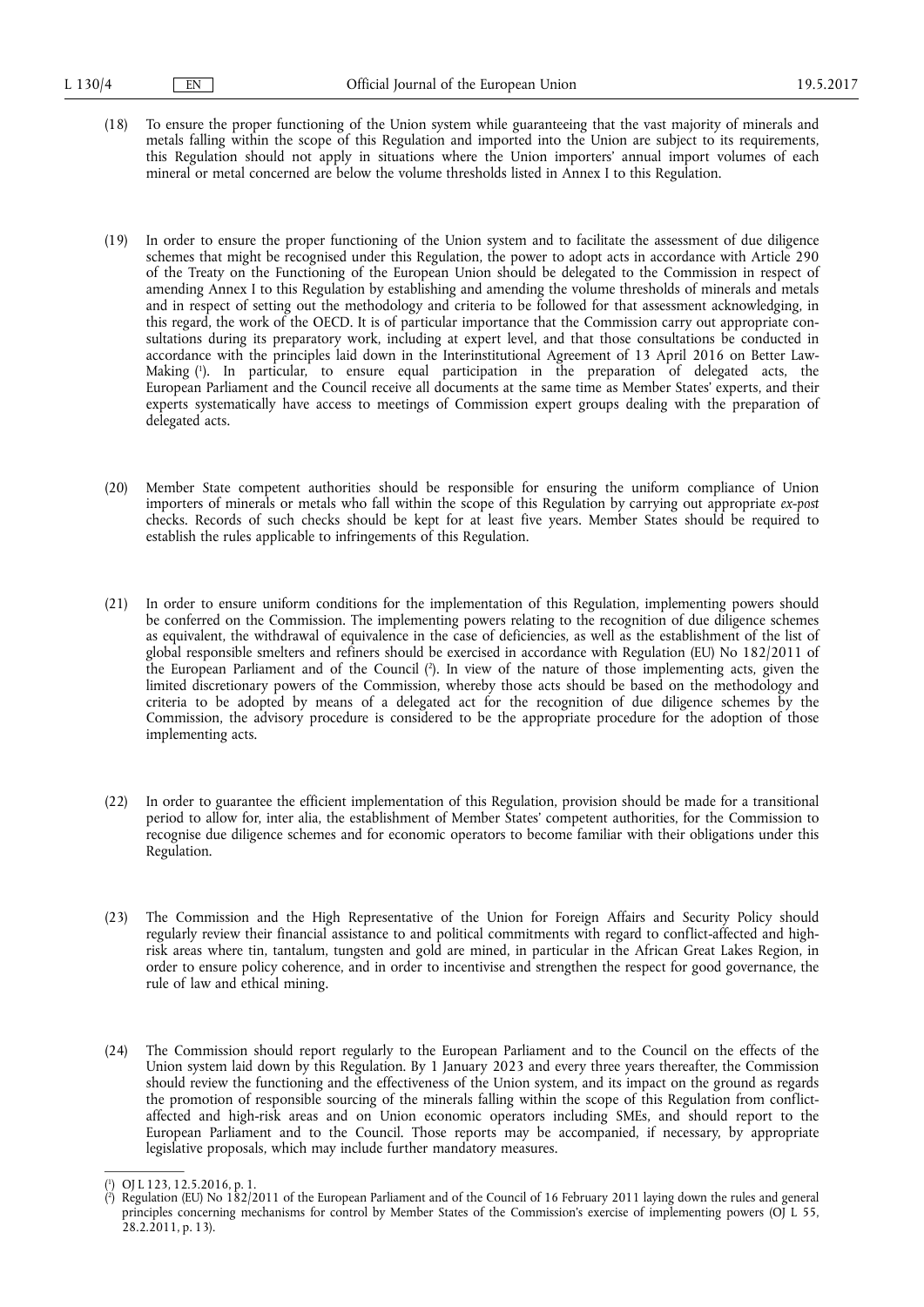- (18) To ensure the proper functioning of the Union system while guaranteeing that the vast majority of minerals and metals falling within the scope of this Regulation and imported into the Union are subject to its requirements, this Regulation should not apply in situations where the Union importers' annual import volumes of each mineral or metal concerned are below the volume thresholds listed in Annex I to this Regulation.
- (19) In order to ensure the proper functioning of the Union system and to facilitate the assessment of due diligence schemes that might be recognised under this Regulation, the power to adopt acts in accordance with Article 290 of the Treaty on the Functioning of the European Union should be delegated to the Commission in respect of amending Annex I to this Regulation by establishing and amending the volume thresholds of minerals and metals and in respect of setting out the methodology and criteria to be followed for that assessment acknowledging, in this regard, the work of the OECD. It is of particular importance that the Commission carry out appropriate consultations during its preparatory work, including at expert level, and that those consultations be conducted in accordance with the principles laid down in the Interinstitutional Agreement of 13 April 2016 on Better Law-Making ( 1 ). In particular, to ensure equal participation in the preparation of delegated acts, the European Parliament and the Council receive all documents at the same time as Member States' experts, and their experts systematically have access to meetings of Commission expert groups dealing with the preparation of delegated acts.
- (20) Member State competent authorities should be responsible for ensuring the uniform compliance of Union importers of minerals or metals who fall within the scope of this Regulation by carrying out appropriate *ex-post*  checks. Records of such checks should be kept for at least five years. Member States should be required to establish the rules applicable to infringements of this Regulation.
- (21) In order to ensure uniform conditions for the implementation of this Regulation, implementing powers should be conferred on the Commission. The implementing powers relating to the recognition of due diligence schemes as equivalent, the withdrawal of equivalence in the case of deficiencies, as well as the establishment of the list of global responsible smelters and refiners should be exercised in accordance with Regulation (EU) No 182/2011 of the European Parliament and of the Council ( 2 ). In view of the nature of those implementing acts, given the limited discretionary powers of the Commission, whereby those acts should be based on the methodology and criteria to be adopted by means of a delegated act for the recognition of due diligence schemes by the Commission, the advisory procedure is considered to be the appropriate procedure for the adoption of those implementing acts.
- (22) In order to guarantee the efficient implementation of this Regulation, provision should be made for a transitional period to allow for, inter alia, the establishment of Member States' competent authorities, for the Commission to recognise due diligence schemes and for economic operators to become familiar with their obligations under this Regulation.
- (23) The Commission and the High Representative of the Union for Foreign Affairs and Security Policy should regularly review their financial assistance to and political commitments with regard to conflict-affected and highrisk areas where tin, tantalum, tungsten and gold are mined, in particular in the African Great Lakes Region, in order to ensure policy coherence, and in order to incentivise and strengthen the respect for good governance, the rule of law and ethical mining.
- (24) The Commission should report regularly to the European Parliament and to the Council on the effects of the Union system laid down by this Regulation. By 1 January 2023 and every three years thereafter, the Commission should review the functioning and the effectiveness of the Union system, and its impact on the ground as regards the promotion of responsible sourcing of the minerals falling within the scope of this Regulation from conflictaffected and high-risk areas and on Union economic operators including SMEs, and should report to the European Parliament and to the Council. Those reports may be accompanied, if necessary, by appropriate legislative proposals, which may include further mandatory measures.

<sup>(</sup> 1 ) OJ L 123, 12.5.2016, p. 1.

<sup>(</sup> 2 ) Regulation (EU) No 182/2011 of the European Parliament and of the Council of 16 February 2011 laying down the rules and general principles concerning mechanisms for control by Member States of the Commission's exercise of implementing powers (OJ L 55, 28.2.2011, p. 13).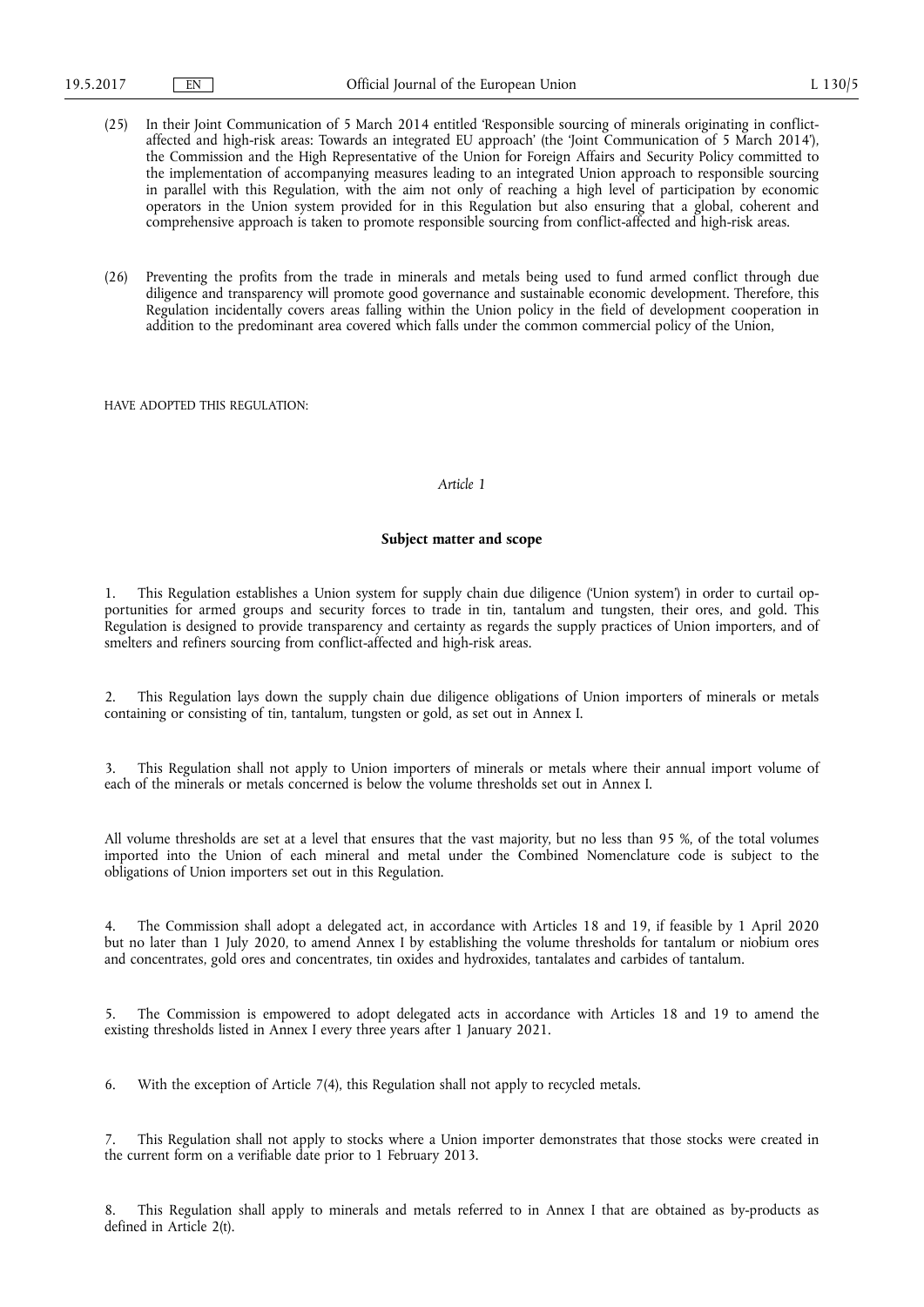- (25) In their Joint Communication of 5 March 2014 entitled 'Responsible sourcing of minerals originating in conflictaffected and high-risk areas: Towards an integrated EU approach' (the 'Joint Communication of 5 March 2014'), the Commission and the High Representative of the Union for Foreign Affairs and Security Policy committed to the implementation of accompanying measures leading to an integrated Union approach to responsible sourcing in parallel with this Regulation, with the aim not only of reaching a high level of participation by economic operators in the Union system provided for in this Regulation but also ensuring that a global, coherent and comprehensive approach is taken to promote responsible sourcing from conflict-affected and high-risk areas.
- (26) Preventing the profits from the trade in minerals and metals being used to fund armed conflict through due diligence and transparency will promote good governance and sustainable economic development. Therefore, this Regulation incidentally covers areas falling within the Union policy in the field of development cooperation in addition to the predominant area covered which falls under the common commercial policy of the Union,

HAVE ADOPTED THIS REGULATION:

#### *Article 1*

#### **Subject matter and scope**

1. This Regulation establishes a Union system for supply chain due diligence ('Union system') in order to curtail opportunities for armed groups and security forces to trade in tin, tantalum and tungsten, their ores, and gold. This Regulation is designed to provide transparency and certainty as regards the supply practices of Union importers, and of smelters and refiners sourcing from conflict-affected and high-risk areas.

2. This Regulation lays down the supply chain due diligence obligations of Union importers of minerals or metals containing or consisting of tin, tantalum, tungsten or gold, as set out in Annex I.

3. This Regulation shall not apply to Union importers of minerals or metals where their annual import volume of each of the minerals or metals concerned is below the volume thresholds set out in Annex I.

All volume thresholds are set at a level that ensures that the vast majority, but no less than 95 %, of the total volumes imported into the Union of each mineral and metal under the Combined Nomenclature code is subject to the obligations of Union importers set out in this Regulation.

4. The Commission shall adopt a delegated act, in accordance with Articles 18 and 19, if feasible by 1 April 2020 but no later than 1 July 2020, to amend Annex I by establishing the volume thresholds for tantalum or niobium ores and concentrates, gold ores and concentrates, tin oxides and hydroxides, tantalates and carbides of tantalum.

5. The Commission is empowered to adopt delegated acts in accordance with Articles 18 and 19 to amend the existing thresholds listed in Annex I every three years after 1 January 2021.

6. With the exception of Article 7(4), this Regulation shall not apply to recycled metals.

This Regulation shall not apply to stocks where a Union importer demonstrates that those stocks were created in the current form on a verifiable date prior to 1 February 2013.

This Regulation shall apply to minerals and metals referred to in Annex I that are obtained as by-products as defined in Article 2(t).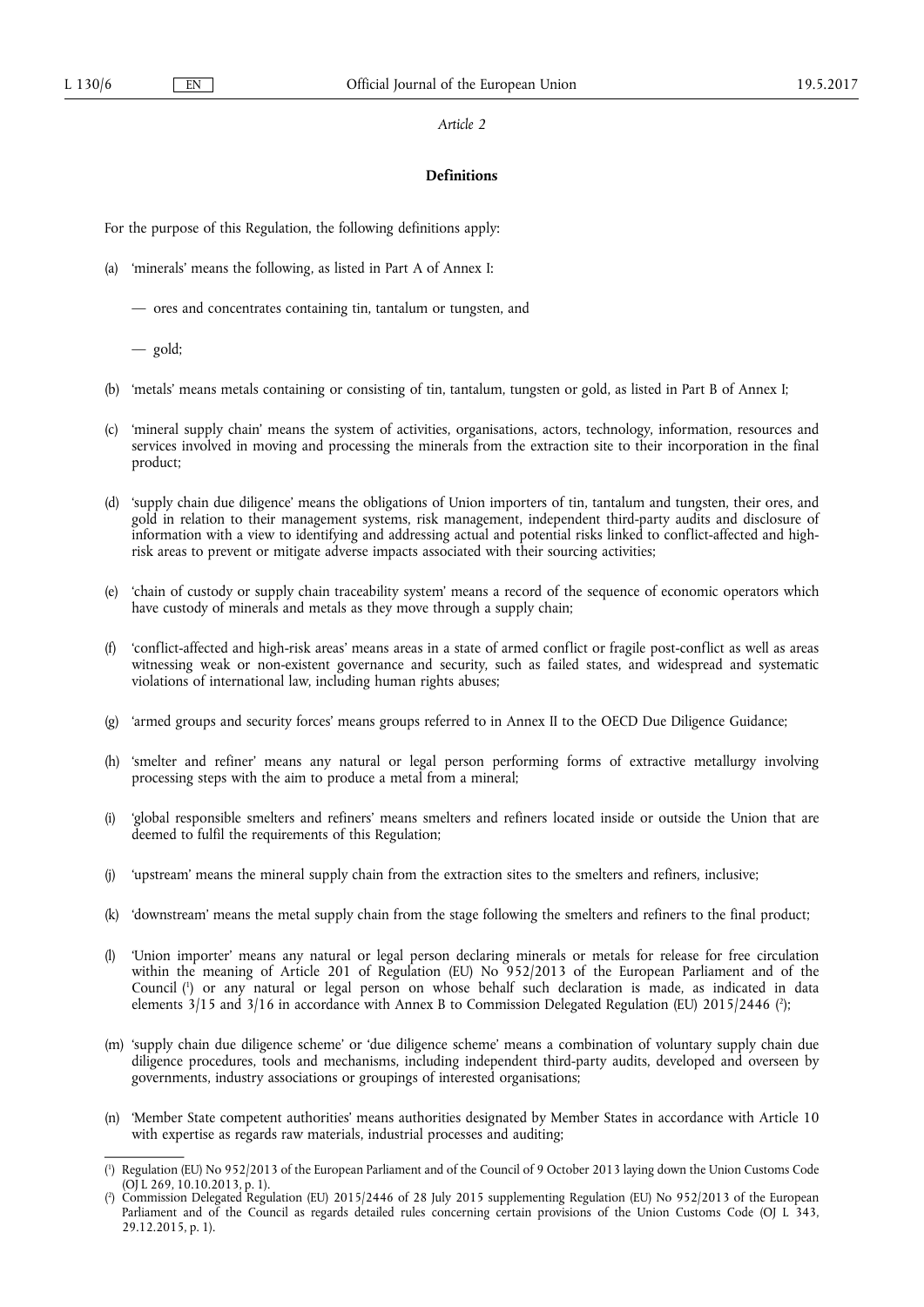## **Definitions**

For the purpose of this Regulation, the following definitions apply:

(a) 'minerals' means the following, as listed in Part A of Annex I:

— ores and concentrates containing tin, tantalum or tungsten, and

— gold;

- (b) 'metals' means metals containing or consisting of tin, tantalum, tungsten or gold, as listed in Part B of Annex I;
- (c) 'mineral supply chain' means the system of activities, organisations, actors, technology, information, resources and services involved in moving and processing the minerals from the extraction site to their incorporation in the final product;
- (d) 'supply chain due diligence' means the obligations of Union importers of tin, tantalum and tungsten, their ores, and gold in relation to their management systems, risk management, independent third-party audits and disclosure of information with a view to identifying and addressing actual and potential risks linked to conflict-affected and highrisk areas to prevent or mitigate adverse impacts associated with their sourcing activities;
- (e) 'chain of custody or supply chain traceability system' means a record of the sequence of economic operators which have custody of minerals and metals as they move through a supply chain;
- (f) 'conflict-affected and high-risk areas' means areas in a state of armed conflict or fragile post-conflict as well as areas witnessing weak or non-existent governance and security, such as failed states, and widespread and systematic violations of international law, including human rights abuses;
- (g) 'armed groups and security forces' means groups referred to in Annex II to the OECD Due Diligence Guidance;
- (h) 'smelter and refiner' means any natural or legal person performing forms of extractive metallurgy involving processing steps with the aim to produce a metal from a mineral;
- (i) 'global responsible smelters and refiners' means smelters and refiners located inside or outside the Union that are deemed to fulfil the requirements of this Regulation;
- (j) 'upstream' means the mineral supply chain from the extraction sites to the smelters and refiners, inclusive;
- (k) 'downstream' means the metal supply chain from the stage following the smelters and refiners to the final product;
- (l) 'Union importer' means any natural or legal person declaring minerals or metals for release for free circulation within the meaning of Article 201 of Regulation (EU) No 952/2013 of the European Parliament and of the Council ( 1 ) or any natural or legal person on whose behalf such declaration is made, as indicated in data elements 3/15 and 3/16 in accordance with Annex B to Commission Delegated Regulation (EU) 2015/2446 (?);
- (m) 'supply chain due diligence scheme' or 'due diligence scheme' means a combination of voluntary supply chain due diligence procedures, tools and mechanisms, including independent third-party audits, developed and overseen by governments, industry associations or groupings of interested organisations;
- (n) 'Member State competent authorities' means authorities designated by Member States in accordance with Article 10 with expertise as regards raw materials, industrial processes and auditing;

<sup>(</sup> 1 ) Regulation (EU) No 952/2013 of the European Parliament and of the Council of 9 October 2013 laying down the Union Customs Code (OJ L 269, 10.10.2013, p. 1).

<sup>(</sup> 2 ) Commission Delegated Regulation (EU) 2015/2446 of 28 July 2015 supplementing Regulation (EU) No 952/2013 of the European Parliament and of the Council as regards detailed rules concerning certain provisions of the Union Customs Code (OJ L 343, 29.12.2015, p. 1).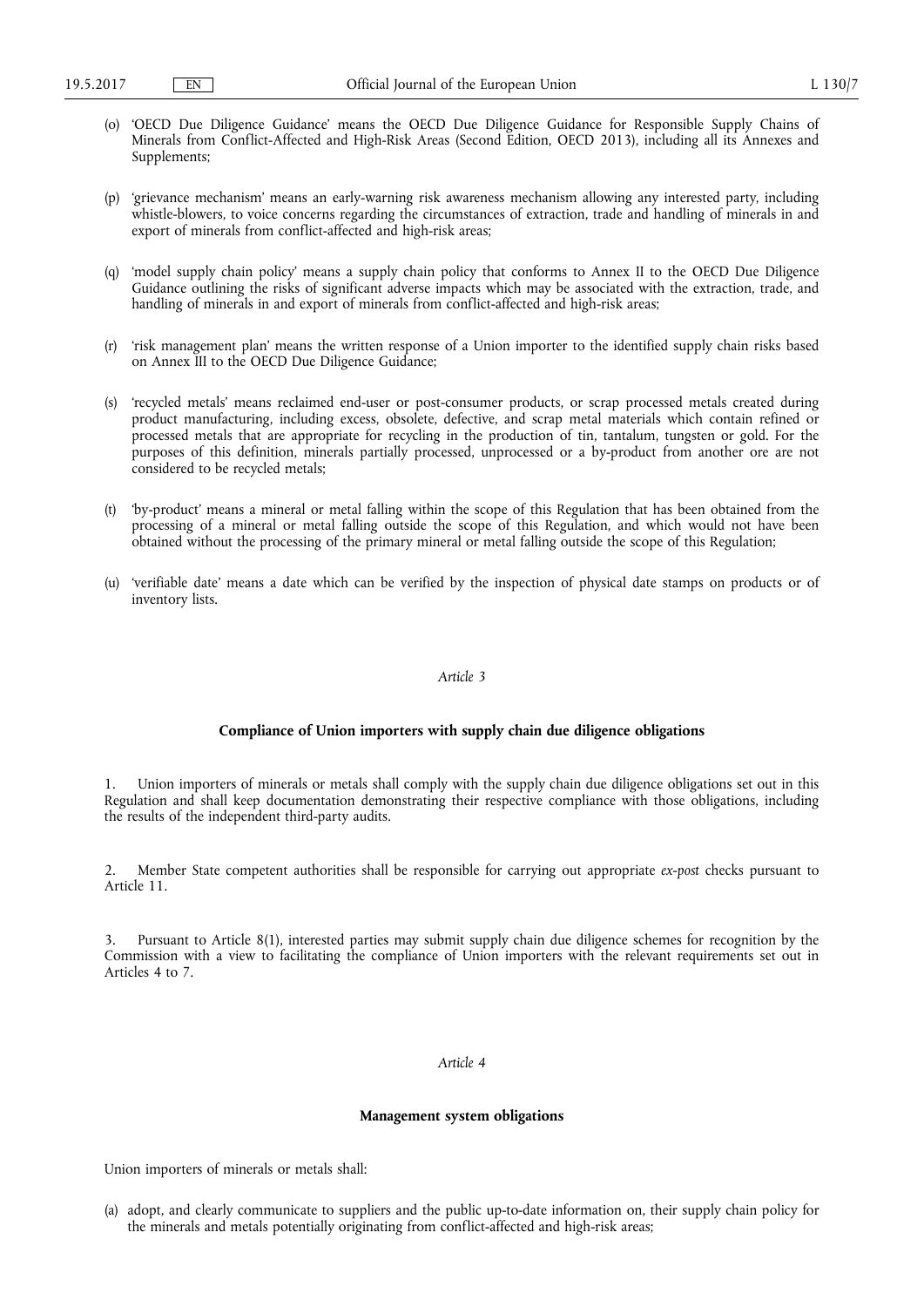- (o) 'OECD Due Diligence Guidance' means the OECD Due Diligence Guidance for Responsible Supply Chains of Minerals from Conflict-Affected and High-Risk Areas (Second Edition, OECD 2013), including all its Annexes and Supplements;
- (p) 'grievance mechanism' means an early-warning risk awareness mechanism allowing any interested party, including whistle-blowers, to voice concerns regarding the circumstances of extraction, trade and handling of minerals in and export of minerals from conflict-affected and high-risk areas;
- (q) 'model supply chain policy' means a supply chain policy that conforms to Annex II to the OECD Due Diligence Guidance outlining the risks of significant adverse impacts which may be associated with the extraction, trade, and handling of minerals in and export of minerals from conflict-affected and high-risk areas;
- (r) 'risk management plan' means the written response of a Union importer to the identified supply chain risks based on Annex III to the OECD Due Diligence Guidance;
- (s) 'recycled metals' means reclaimed end-user or post-consumer products, or scrap processed metals created during product manufacturing, including excess, obsolete, defective, and scrap metal materials which contain refined or processed metals that are appropriate for recycling in the production of tin, tantalum, tungsten or gold. For the purposes of this definition, minerals partially processed, unprocessed or a by-product from another ore are not considered to be recycled metals;
- (t) 'by-product' means a mineral or metal falling within the scope of this Regulation that has been obtained from the processing of a mineral or metal falling outside the scope of this Regulation, and which would not have been obtained without the processing of the primary mineral or metal falling outside the scope of this Regulation;
- (u) 'verifiable date' means a date which can be verified by the inspection of physical date stamps on products or of inventory lists.

#### **Compliance of Union importers with supply chain due diligence obligations**

1. Union importers of minerals or metals shall comply with the supply chain due diligence obligations set out in this Regulation and shall keep documentation demonstrating their respective compliance with those obligations, including the results of the independent third-party audits.

2. Member State competent authorities shall be responsible for carrying out appropriate *ex-post* checks pursuant to Article 11.

3. Pursuant to Article 8(1), interested parties may submit supply chain due diligence schemes for recognition by the Commission with a view to facilitating the compliance of Union importers with the relevant requirements set out in Articles 4 to 7.

#### *Article 4*

#### **Management system obligations**

Union importers of minerals or metals shall:

(a) adopt, and clearly communicate to suppliers and the public up-to-date information on, their supply chain policy for the minerals and metals potentially originating from conflict-affected and high-risk areas;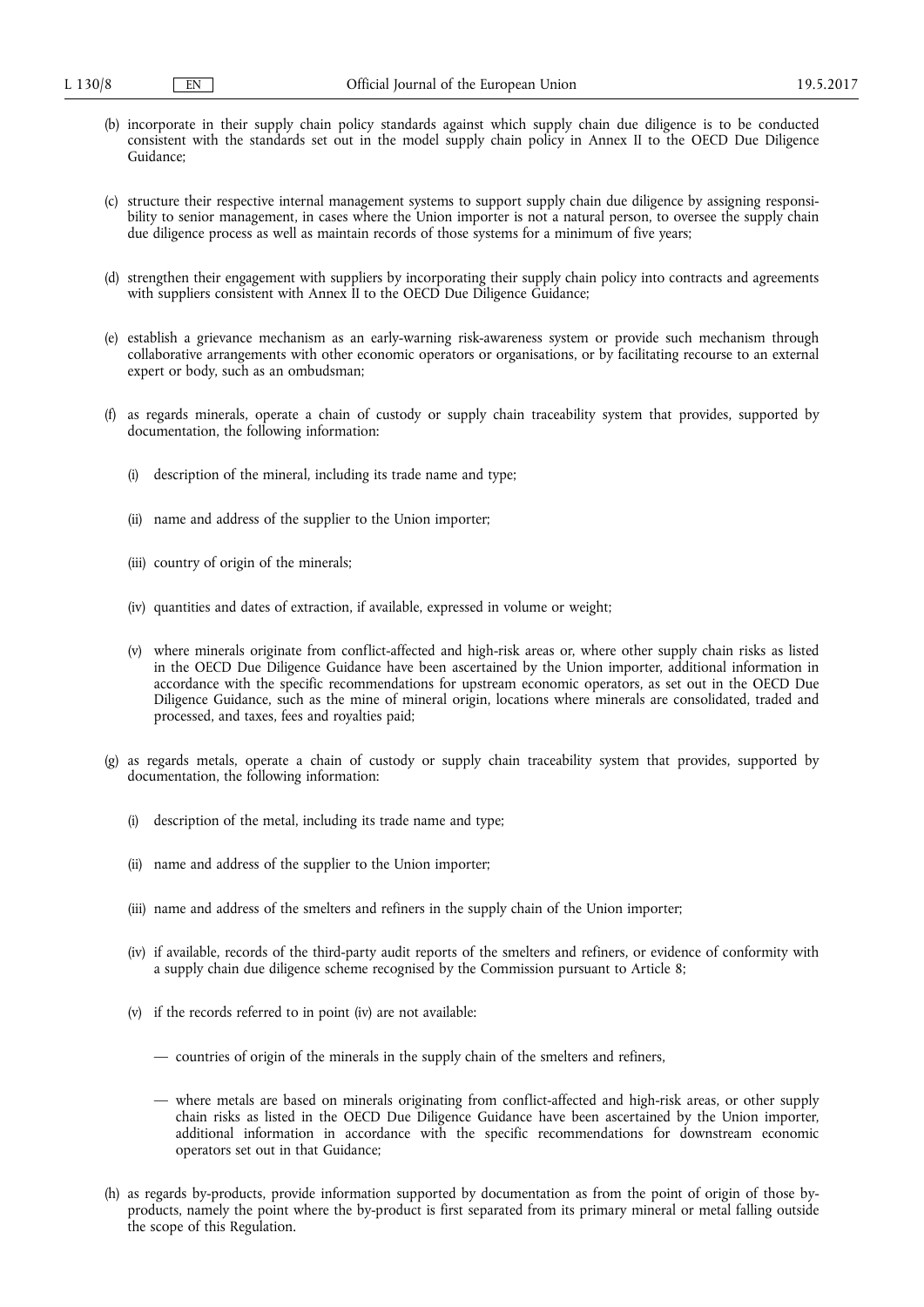- (b) incorporate in their supply chain policy standards against which supply chain due diligence is to be conducted consistent with the standards set out in the model supply chain policy in Annex II to the OECD Due Diligence Guidance;
- (c) structure their respective internal management systems to support supply chain due diligence by assigning responsibility to senior management, in cases where the Union importer is not a natural person, to oversee the supply chain due diligence process as well as maintain records of those systems for a minimum of five years;
- (d) strengthen their engagement with suppliers by incorporating their supply chain policy into contracts and agreements with suppliers consistent with Annex II to the OECD Due Diligence Guidance;
- (e) establish a grievance mechanism as an early-warning risk-awareness system or provide such mechanism through collaborative arrangements with other economic operators or organisations, or by facilitating recourse to an external expert or body, such as an ombudsman;
- (f) as regards minerals, operate a chain of custody or supply chain traceability system that provides, supported by documentation, the following information:
	- (i) description of the mineral, including its trade name and type;
	- (ii) name and address of the supplier to the Union importer;
	- (iii) country of origin of the minerals;
	- (iv) quantities and dates of extraction, if available, expressed in volume or weight;
	- (v) where minerals originate from conflict-affected and high-risk areas or, where other supply chain risks as listed in the OECD Due Diligence Guidance have been ascertained by the Union importer, additional information in accordance with the specific recommendations for upstream economic operators, as set out in the OECD Due Diligence Guidance, such as the mine of mineral origin, locations where minerals are consolidated, traded and processed, and taxes, fees and royalties paid;
- (g) as regards metals, operate a chain of custody or supply chain traceability system that provides, supported by documentation, the following information:
	- (i) description of the metal, including its trade name and type;
	- (ii) name and address of the supplier to the Union importer;
	- (iii) name and address of the smelters and refiners in the supply chain of the Union importer;
	- (iv) if available, records of the third-party audit reports of the smelters and refiners, or evidence of conformity with a supply chain due diligence scheme recognised by the Commission pursuant to Article 8;
	- (v) if the records referred to in point (iv) are not available:
		- countries of origin of the minerals in the supply chain of the smelters and refiners,
		- where metals are based on minerals originating from conflict-affected and high-risk areas, or other supply chain risks as listed in the OECD Due Diligence Guidance have been ascertained by the Union importer, additional information in accordance with the specific recommendations for downstream economic operators set out in that Guidance;
- (h) as regards by-products, provide information supported by documentation as from the point of origin of those byproducts, namely the point where the by-product is first separated from its primary mineral or metal falling outside the scope of this Regulation.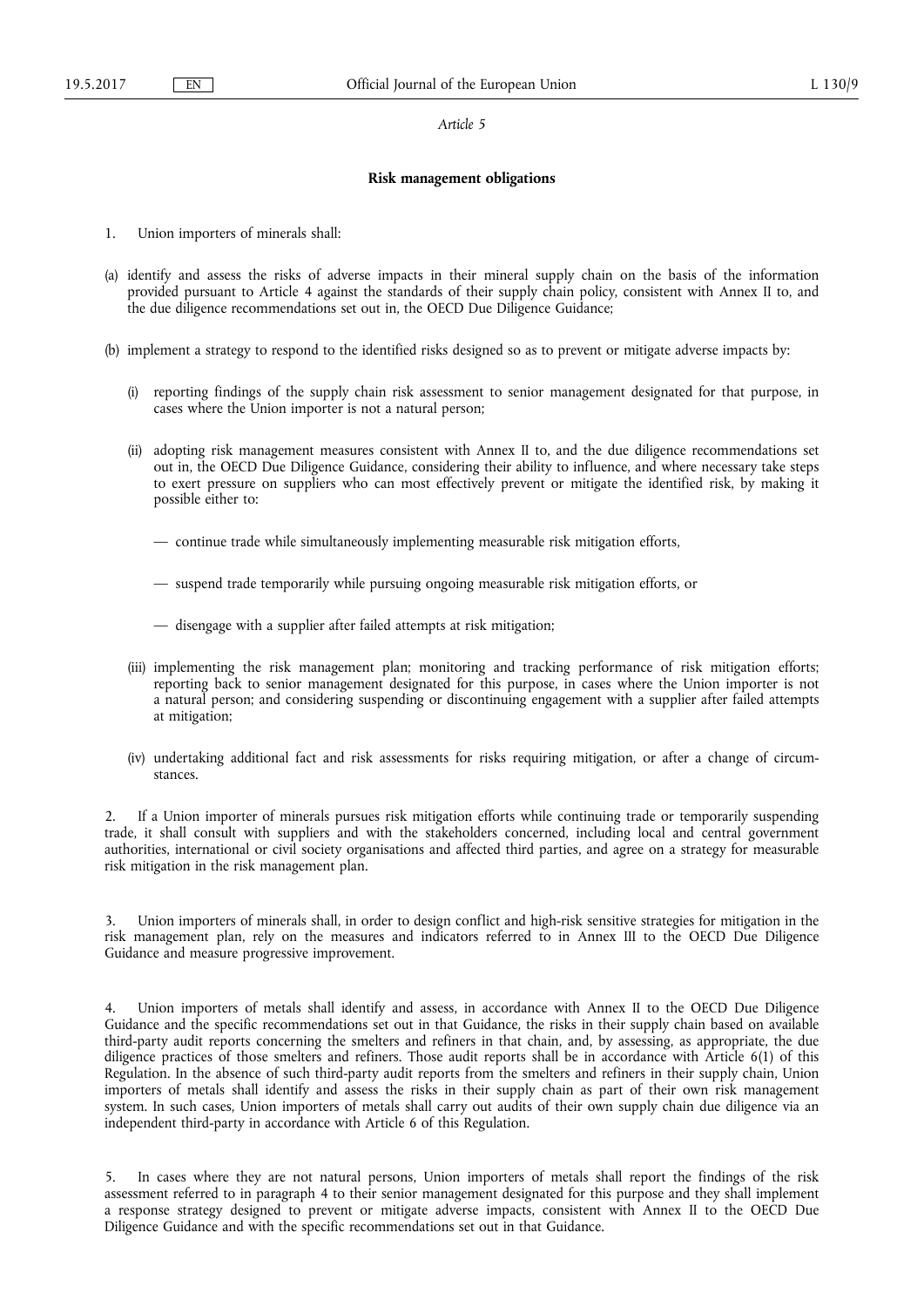#### **Risk management obligations**

- 1. Union importers of minerals shall:
- (a) identify and assess the risks of adverse impacts in their mineral supply chain on the basis of the information provided pursuant to Article 4 against the standards of their supply chain policy, consistent with Annex II to, and the due diligence recommendations set out in, the OECD Due Diligence Guidance;
- (b) implement a strategy to respond to the identified risks designed so as to prevent or mitigate adverse impacts by:
	- (i) reporting findings of the supply chain risk assessment to senior management designated for that purpose, in cases where the Union importer is not a natural person;
	- (ii) adopting risk management measures consistent with Annex II to, and the due diligence recommendations set out in, the OECD Due Diligence Guidance, considering their ability to influence, and where necessary take steps to exert pressure on suppliers who can most effectively prevent or mitigate the identified risk, by making it possible either to:
		- continue trade while simultaneously implementing measurable risk mitigation efforts,
		- suspend trade temporarily while pursuing ongoing measurable risk mitigation efforts, or
		- disengage with a supplier after failed attempts at risk mitigation;
	- (iii) implementing the risk management plan; monitoring and tracking performance of risk mitigation efforts; reporting back to senior management designated for this purpose, in cases where the Union importer is not a natural person; and considering suspending or discontinuing engagement with a supplier after failed attempts at mitigation;
	- (iv) undertaking additional fact and risk assessments for risks requiring mitigation, or after a change of circumstances.

2. If a Union importer of minerals pursues risk mitigation efforts while continuing trade or temporarily suspending trade, it shall consult with suppliers and with the stakeholders concerned, including local and central government authorities, international or civil society organisations and affected third parties, and agree on a strategy for measurable risk mitigation in the risk management plan.

3. Union importers of minerals shall, in order to design conflict and high-risk sensitive strategies for mitigation in the risk management plan, rely on the measures and indicators referred to in Annex III to the OECD Due Diligence Guidance and measure progressive improvement.

Union importers of metals shall identify and assess, in accordance with Annex II to the OECD Due Diligence Guidance and the specific recommendations set out in that Guidance, the risks in their supply chain based on available third-party audit reports concerning the smelters and refiners in that chain, and, by assessing, as appropriate, the due diligence practices of those smelters and refiners. Those audit reports shall be in accordance with Article 6(1) of this Regulation. In the absence of such third-party audit reports from the smelters and refiners in their supply chain, Union importers of metals shall identify and assess the risks in their supply chain as part of their own risk management system. In such cases, Union importers of metals shall carry out audits of their own supply chain due diligence via an independent third-party in accordance with Article 6 of this Regulation.

5. In cases where they are not natural persons, Union importers of metals shall report the findings of the risk assessment referred to in paragraph 4 to their senior management designated for this purpose and they shall implement a response strategy designed to prevent or mitigate adverse impacts, consistent with Annex II to the OECD Due Diligence Guidance and with the specific recommendations set out in that Guidance.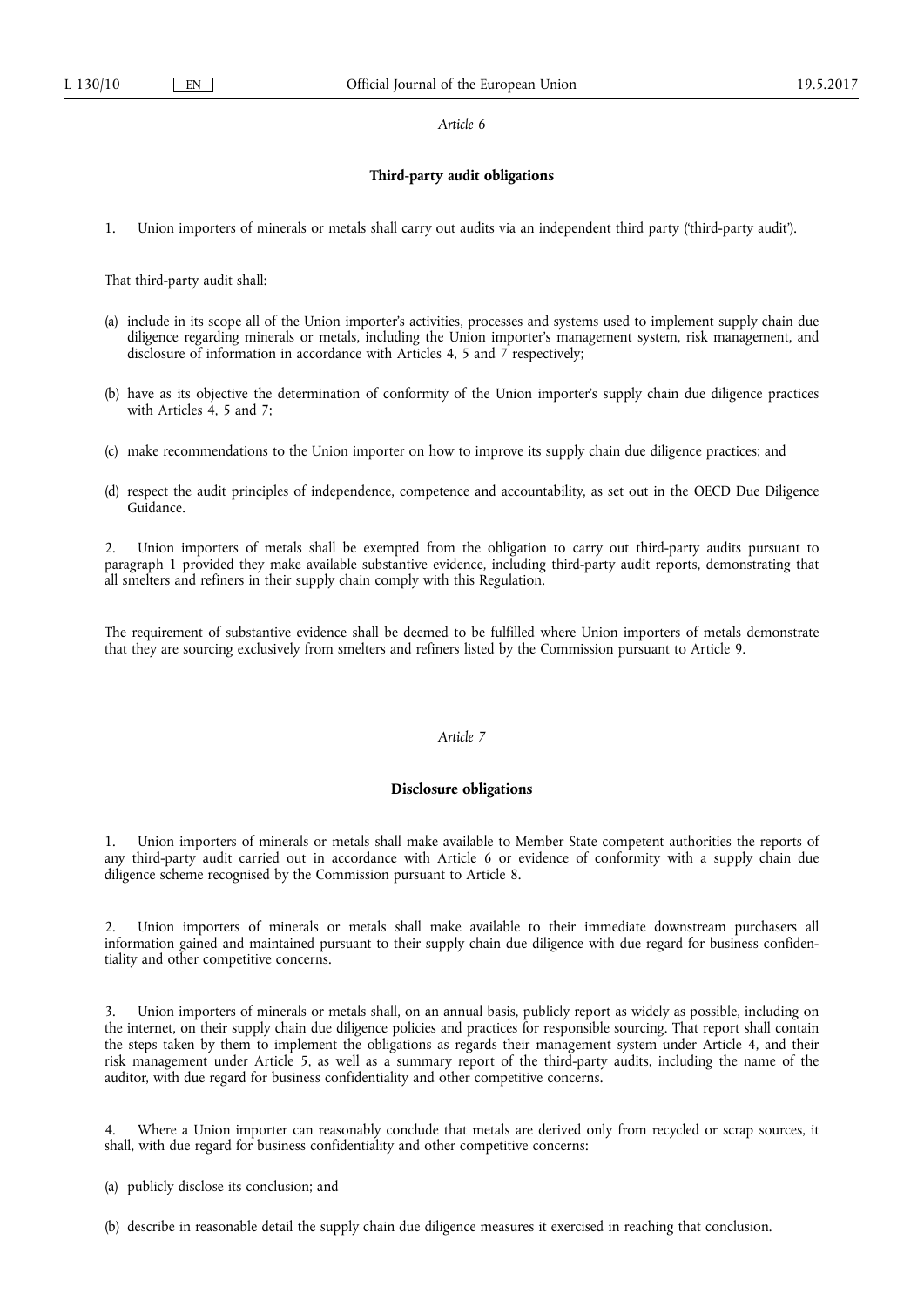### **Third-party audit obligations**

1. Union importers of minerals or metals shall carry out audits via an independent third party ('third-party audit').

That third-party audit shall:

- (a) include in its scope all of the Union importer's activities, processes and systems used to implement supply chain due diligence regarding minerals or metals, including the Union importer's management system, risk management, and disclosure of information in accordance with Articles 4, 5 and 7 respectively;
- (b) have as its objective the determination of conformity of the Union importer's supply chain due diligence practices with Articles 4, 5 and 7;
- (c) make recommendations to the Union importer on how to improve its supply chain due diligence practices; and
- (d) respect the audit principles of independence, competence and accountability, as set out in the OECD Due Diligence Guidance.

2. Union importers of metals shall be exempted from the obligation to carry out third-party audits pursuant to paragraph 1 provided they make available substantive evidence, including third-party audit reports, demonstrating that all smelters and refiners in their supply chain comply with this Regulation.

The requirement of substantive evidence shall be deemed to be fulfilled where Union importers of metals demonstrate that they are sourcing exclusively from smelters and refiners listed by the Commission pursuant to Article 9.

## *Article 7*

### **Disclosure obligations**

1. Union importers of minerals or metals shall make available to Member State competent authorities the reports of any third-party audit carried out in accordance with Article 6 or evidence of conformity with a supply chain due diligence scheme recognised by the Commission pursuant to Article 8.

2. Union importers of minerals or metals shall make available to their immediate downstream purchasers all information gained and maintained pursuant to their supply chain due diligence with due regard for business confidentiality and other competitive concerns.

3. Union importers of minerals or metals shall, on an annual basis, publicly report as widely as possible, including on the internet, on their supply chain due diligence policies and practices for responsible sourcing. That report shall contain the steps taken by them to implement the obligations as regards their management system under Article 4, and their risk management under Article 5, as well as a summary report of the third-party audits, including the name of the auditor, with due regard for business confidentiality and other competitive concerns.

Where a Union importer can reasonably conclude that metals are derived only from recycled or scrap sources, it shall, with due regard for business confidentiality and other competitive concerns:

(a) publicly disclose its conclusion; and

(b) describe in reasonable detail the supply chain due diligence measures it exercised in reaching that conclusion.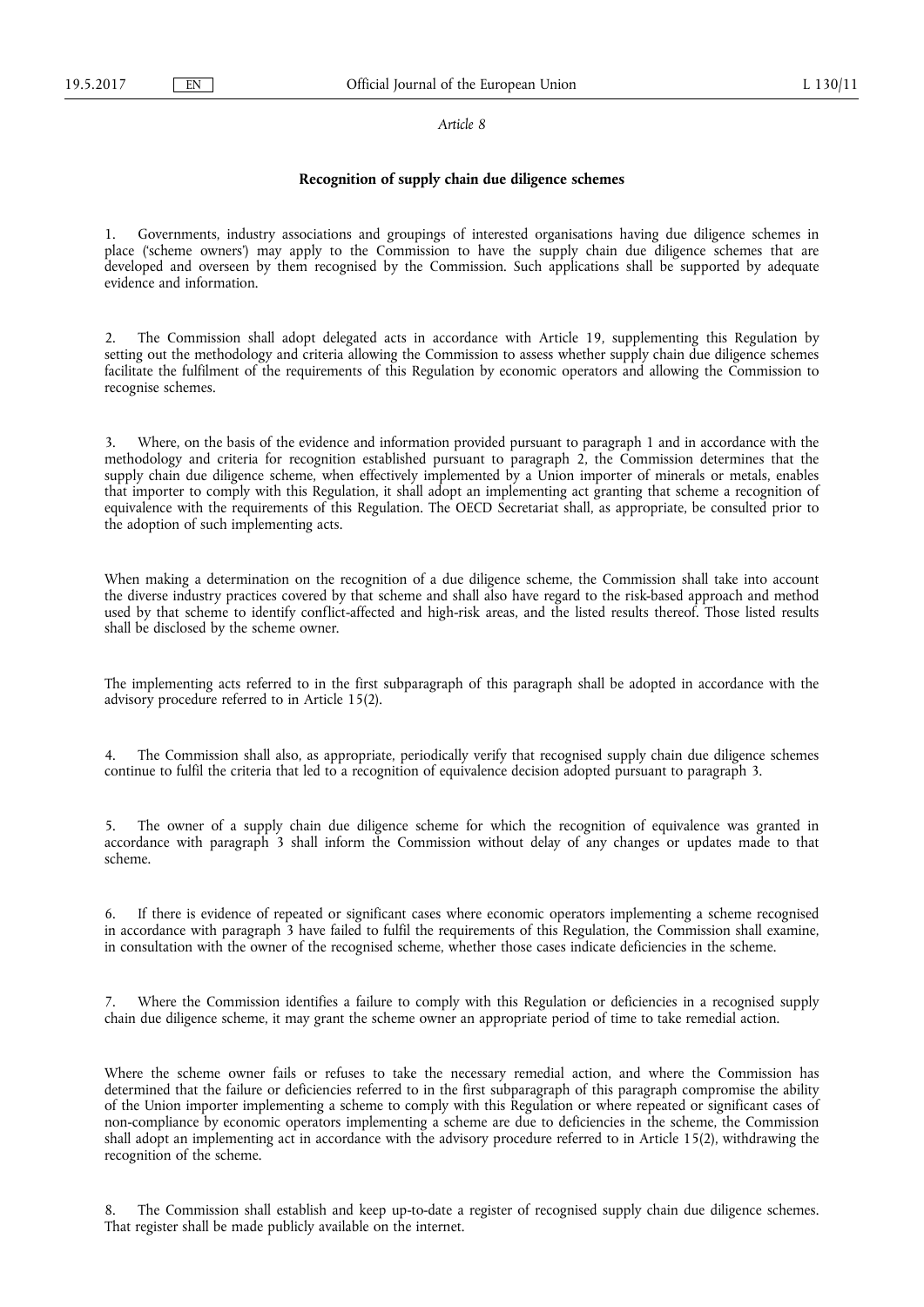## **Recognition of supply chain due diligence schemes**

1. Governments, industry associations and groupings of interested organisations having due diligence schemes in place ('scheme owners') may apply to the Commission to have the supply chain due diligence schemes that are developed and overseen by them recognised by the Commission. Such applications shall be supported by adequate evidence and information.

The Commission shall adopt delegated acts in accordance with Article 19, supplementing this Regulation by setting out the methodology and criteria allowing the Commission to assess whether supply chain due diligence schemes facilitate the fulfilment of the requirements of this Regulation by economic operators and allowing the Commission to recognise schemes.

Where, on the basis of the evidence and information provided pursuant to paragraph 1 and in accordance with the methodology and criteria for recognition established pursuant to paragraph 2, the Commission determines that the supply chain due diligence scheme, when effectively implemented by a Union importer of minerals or metals, enables that importer to comply with this Regulation, it shall adopt an implementing act granting that scheme a recognition of equivalence with the requirements of this Regulation. The OECD Secretariat shall, as appropriate, be consulted prior to the adoption of such implementing acts.

When making a determination on the recognition of a due diligence scheme, the Commission shall take into account the diverse industry practices covered by that scheme and shall also have regard to the risk-based approach and method used by that scheme to identify conflict-affected and high-risk areas, and the listed results thereof. Those listed results shall be disclosed by the scheme owner.

The implementing acts referred to in the first subparagraph of this paragraph shall be adopted in accordance with the advisory procedure referred to in Article 15(2).

The Commission shall also, as appropriate, periodically verify that recognised supply chain due diligence schemes continue to fulfil the criteria that led to a recognition of equivalence decision adopted pursuant to paragraph 3.

5. The owner of a supply chain due diligence scheme for which the recognition of equivalence was granted in accordance with paragraph 3 shall inform the Commission without delay of any changes or updates made to that scheme.

6. If there is evidence of repeated or significant cases where economic operators implementing a scheme recognised in accordance with paragraph 3 have failed to fulfil the requirements of this Regulation, the Commission shall examine, in consultation with the owner of the recognised scheme, whether those cases indicate deficiencies in the scheme.

Where the Commission identifies a failure to comply with this Regulation or deficiencies in a recognised supply chain due diligence scheme, it may grant the scheme owner an appropriate period of time to take remedial action.

Where the scheme owner fails or refuses to take the necessary remedial action, and where the Commission has determined that the failure or deficiencies referred to in the first subparagraph of this paragraph compromise the ability of the Union importer implementing a scheme to comply with this Regulation or where repeated or significant cases of non-compliance by economic operators implementing a scheme are due to deficiencies in the scheme, the Commission shall adopt an implementing act in accordance with the advisory procedure referred to in Article 15(2), withdrawing the recognition of the scheme.

8. The Commission shall establish and keep up-to-date a register of recognised supply chain due diligence schemes. That register shall be made publicly available on the internet.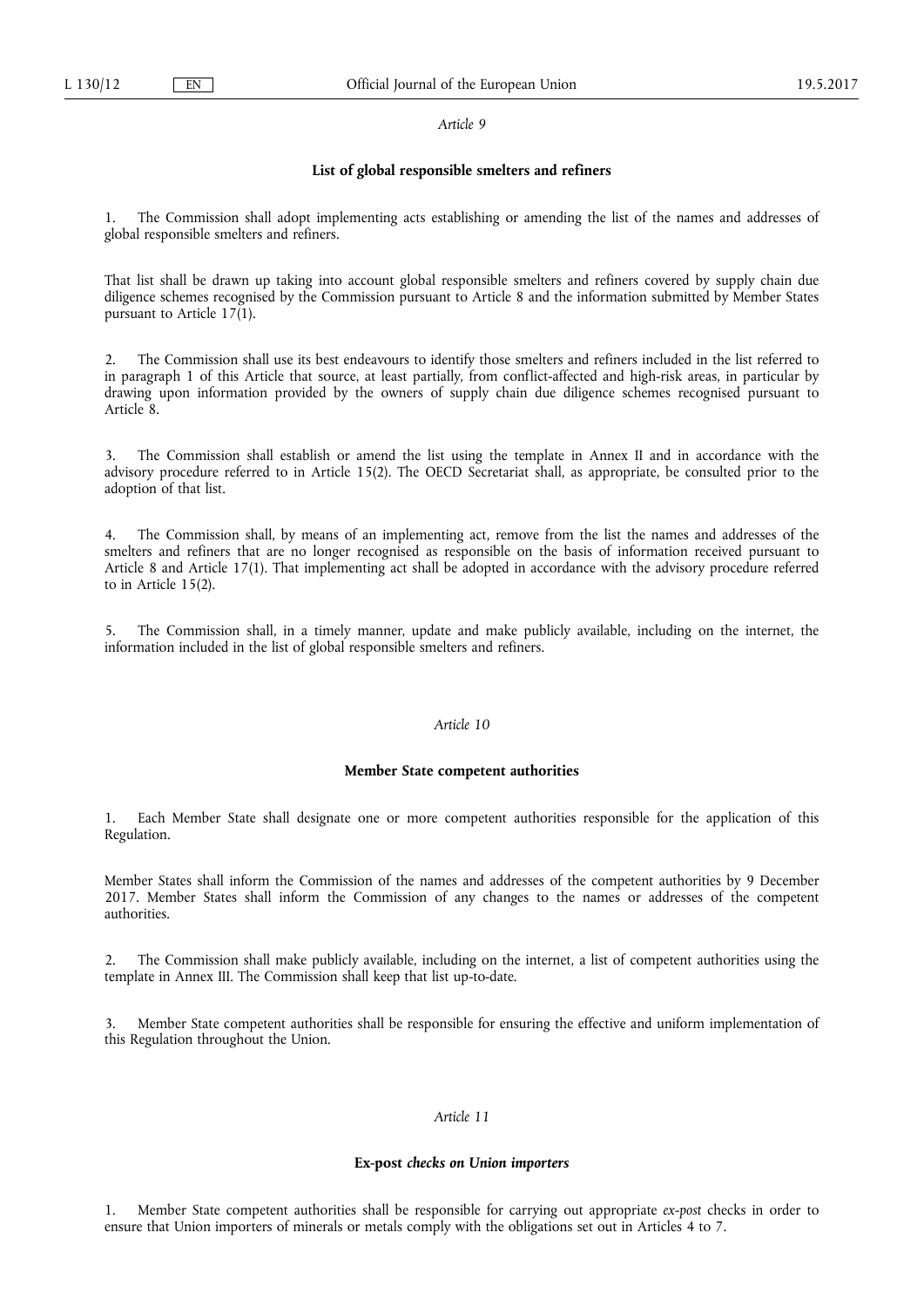#### **List of global responsible smelters and refiners**

1. The Commission shall adopt implementing acts establishing or amending the list of the names and addresses of global responsible smelters and refiners.

That list shall be drawn up taking into account global responsible smelters and refiners covered by supply chain due diligence schemes recognised by the Commission pursuant to Article 8 and the information submitted by Member States pursuant to Article  $17(1)$ .

2. The Commission shall use its best endeavours to identify those smelters and refiners included in the list referred to in paragraph 1 of this Article that source, at least partially, from conflict-affected and high-risk areas, in particular by drawing upon information provided by the owners of supply chain due diligence schemes recognised pursuant to Article 8.

3. The Commission shall establish or amend the list using the template in Annex II and in accordance with the advisory procedure referred to in Article 15(2). The OECD Secretariat shall, as appropriate, be consulted prior to the adoption of that list.

4. The Commission shall, by means of an implementing act, remove from the list the names and addresses of the smelters and refiners that are no longer recognised as responsible on the basis of information received pursuant to Article 8 and Article 17(1). That implementing act shall be adopted in accordance with the advisory procedure referred to in Article 15(2).

5. The Commission shall, in a timely manner, update and make publicly available, including on the internet, the information included in the list of global responsible smelters and refiners.

## *Article 10*

### **Member State competent authorities**

1. Each Member State shall designate one or more competent authorities responsible for the application of this Regulation.

Member States shall inform the Commission of the names and addresses of the competent authorities by 9 December 2017. Member States shall inform the Commission of any changes to the names or addresses of the competent authorities.

2. The Commission shall make publicly available, including on the internet, a list of competent authorities using the template in Annex III. The Commission shall keep that list up-to-date.

3. Member State competent authorities shall be responsible for ensuring the effective and uniform implementation of this Regulation throughout the Union.

## *Article 11*

#### **Ex-post** *checks on Union importers*

1. Member State competent authorities shall be responsible for carrying out appropriate *ex-post* checks in order to ensure that Union importers of minerals or metals comply with the obligations set out in Articles 4 to 7.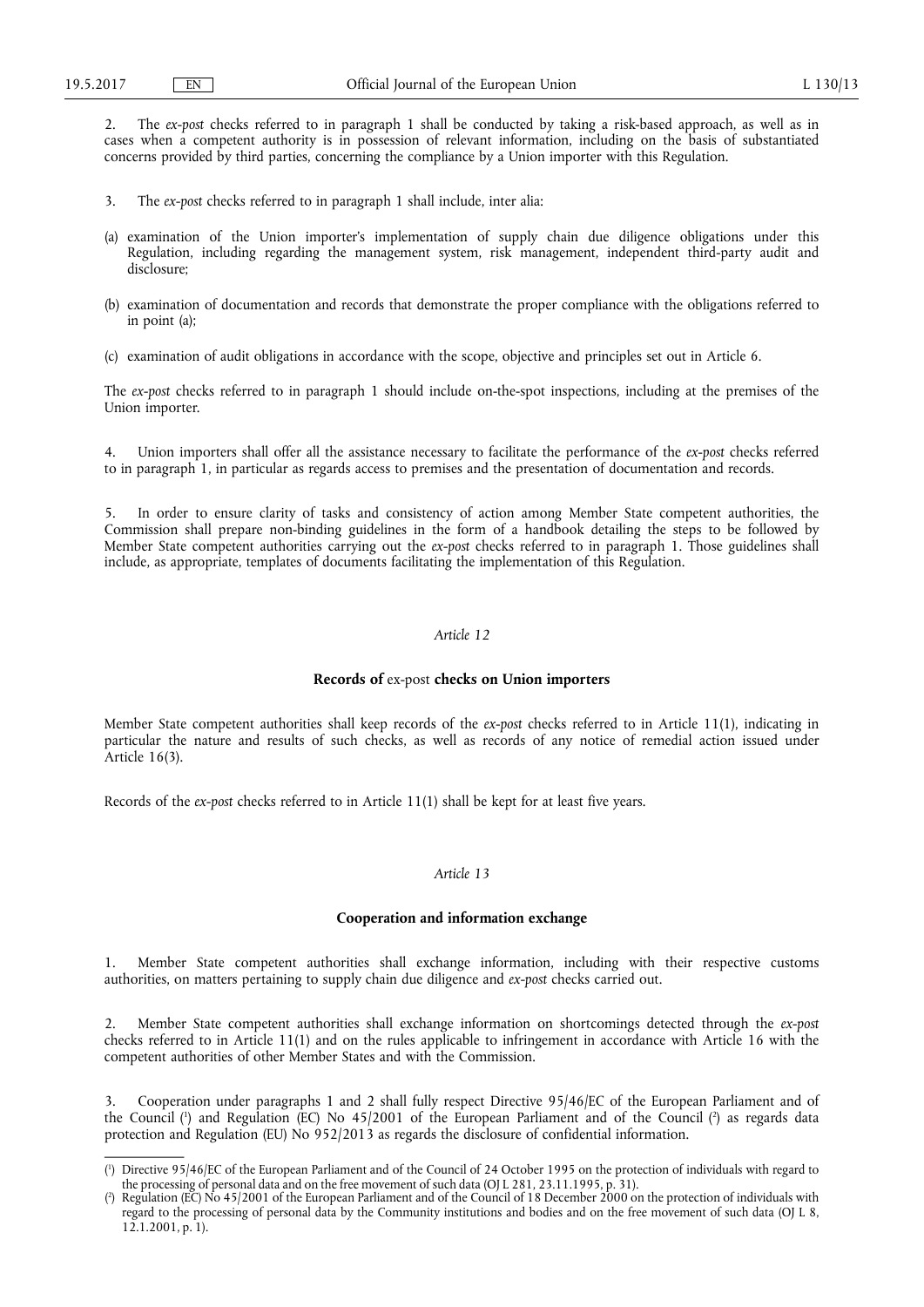2. The *ex-post* checks referred to in paragraph 1 shall be conducted by taking a risk-based approach, as well as in cases when a competent authority is in possession of relevant information, including on the basis of substantiated concerns provided by third parties, concerning the compliance by a Union importer with this Regulation.

- 3. The *ex-post* checks referred to in paragraph 1 shall include, inter alia:
- (a) examination of the Union importer's implementation of supply chain due diligence obligations under this Regulation, including regarding the management system, risk management, independent third-party audit and disclosure;
- (b) examination of documentation and records that demonstrate the proper compliance with the obligations referred to in point (a);
- (c) examination of audit obligations in accordance with the scope, objective and principles set out in Article 6.

The *ex-post* checks referred to in paragraph 1 should include on-the-spot inspections, including at the premises of the Union importer.

4. Union importers shall offer all the assistance necessary to facilitate the performance of the *ex-post* checks referred to in paragraph 1, in particular as regards access to premises and the presentation of documentation and records.

In order to ensure clarity of tasks and consistency of action among Member State competent authorities, the Commission shall prepare non-binding guidelines in the form of a handbook detailing the steps to be followed by Member State competent authorities carrying out the *ex-post* checks referred to in paragraph 1. Those guidelines shall include, as appropriate, templates of documents facilitating the implementation of this Regulation.

#### *Article 12*

#### **Records of** ex-post **checks on Union importers**

Member State competent authorities shall keep records of the *ex-post* checks referred to in Article 11(1), indicating in particular the nature and results of such checks, as well as records of any notice of remedial action issued under Article 16(3).

Records of the *ex-post* checks referred to in Article 11(1) shall be kept for at least five years.

## *Article 13*

#### **Cooperation and information exchange**

1. Member State competent authorities shall exchange information, including with their respective customs authorities, on matters pertaining to supply chain due diligence and *ex-post* checks carried out.

2. Member State competent authorities shall exchange information on shortcomings detected through the *ex-post*  checks referred to in Article 11(1) and on the rules applicable to infringement in accordance with Article 16 with the competent authorities of other Member States and with the Commission.

3. Cooperation under paragraphs 1 and 2 shall fully respect Directive 95/46/EC of the European Parliament and of the Council ( 1 ) and Regulation (EC) No 45/2001 of the European Parliament and of the Council ( 2 ) as regards data protection and Regulation (EU) No 952/2013 as regards the disclosure of confidential information.

<sup>(</sup> 1 ) Directive 95/46/EC of the European Parliament and of the Council of 24 October 1995 on the protection of individuals with regard to the processing of personal data and on the free movement of such data (OJ L 281, 23.11.1995, p. 31).

<sup>(</sup> 2 ) Regulation (EC) No 45/2001 of the European Parliament and of the Council of 18 December 2000 on the protection of individuals with regard to the processing of personal data by the Community institutions and bodies and on the free movement of such data (OJ L 8, 12.1.2001, p. 1).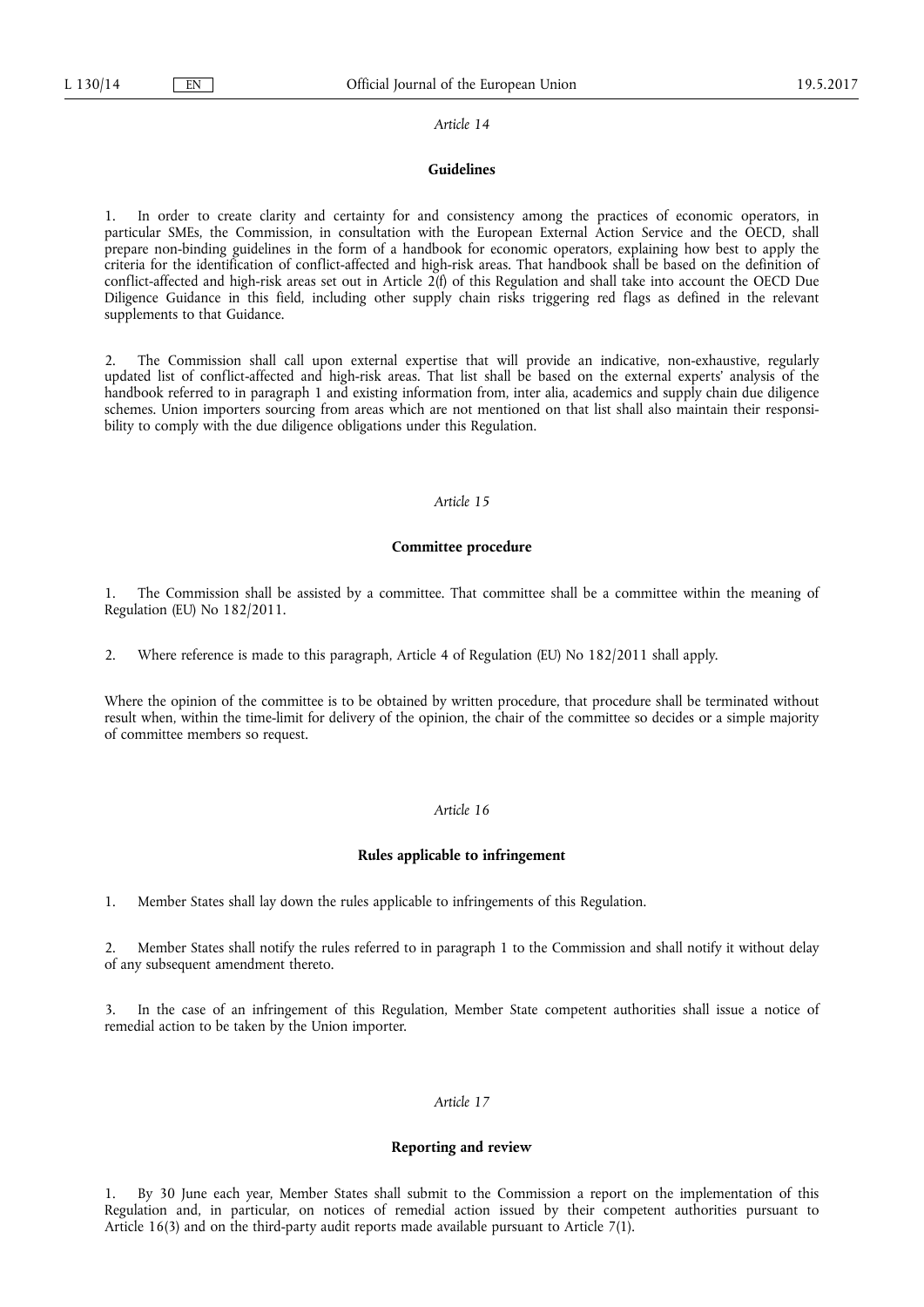#### **Guidelines**

In order to create clarity and certainty for and consistency among the practices of economic operators, in particular SMEs, the Commission, in consultation with the European External Action Service and the OECD, shall prepare non-binding guidelines in the form of a handbook for economic operators, explaining how best to apply the criteria for the identification of conflict-affected and high-risk areas. That handbook shall be based on the definition of conflict-affected and high-risk areas set out in Article 2(f) of this Regulation and shall take into account the OECD Due Diligence Guidance in this field, including other supply chain risks triggering red flags as defined in the relevant supplements to that Guidance.

2. The Commission shall call upon external expertise that will provide an indicative, non-exhaustive, regularly updated list of conflict-affected and high-risk areas. That list shall be based on the external experts' analysis of the handbook referred to in paragraph 1 and existing information from, inter alia, academics and supply chain due diligence schemes. Union importers sourcing from areas which are not mentioned on that list shall also maintain their responsibility to comply with the due diligence obligations under this Regulation.

## *Article 15*

#### **Committee procedure**

1. The Commission shall be assisted by a committee. That committee shall be a committee within the meaning of Regulation (EU) No 182/2011.

2. Where reference is made to this paragraph, Article 4 of Regulation (EU) No 182/2011 shall apply.

Where the opinion of the committee is to be obtained by written procedure, that procedure shall be terminated without result when, within the time-limit for delivery of the opinion, the chair of the committee so decides or a simple majority of committee members so request.

### *Article 16*

### **Rules applicable to infringement**

1. Member States shall lay down the rules applicable to infringements of this Regulation.

2. Member States shall notify the rules referred to in paragraph 1 to the Commission and shall notify it without delay of any subsequent amendment thereto.

3. In the case of an infringement of this Regulation, Member State competent authorities shall issue a notice of remedial action to be taken by the Union importer.

## *Article 17*

#### **Reporting and review**

1. By 30 June each year, Member States shall submit to the Commission a report on the implementation of this Regulation and, in particular, on notices of remedial action issued by their competent authorities pursuant to Article 16(3) and on the third-party audit reports made available pursuant to Article 7(1).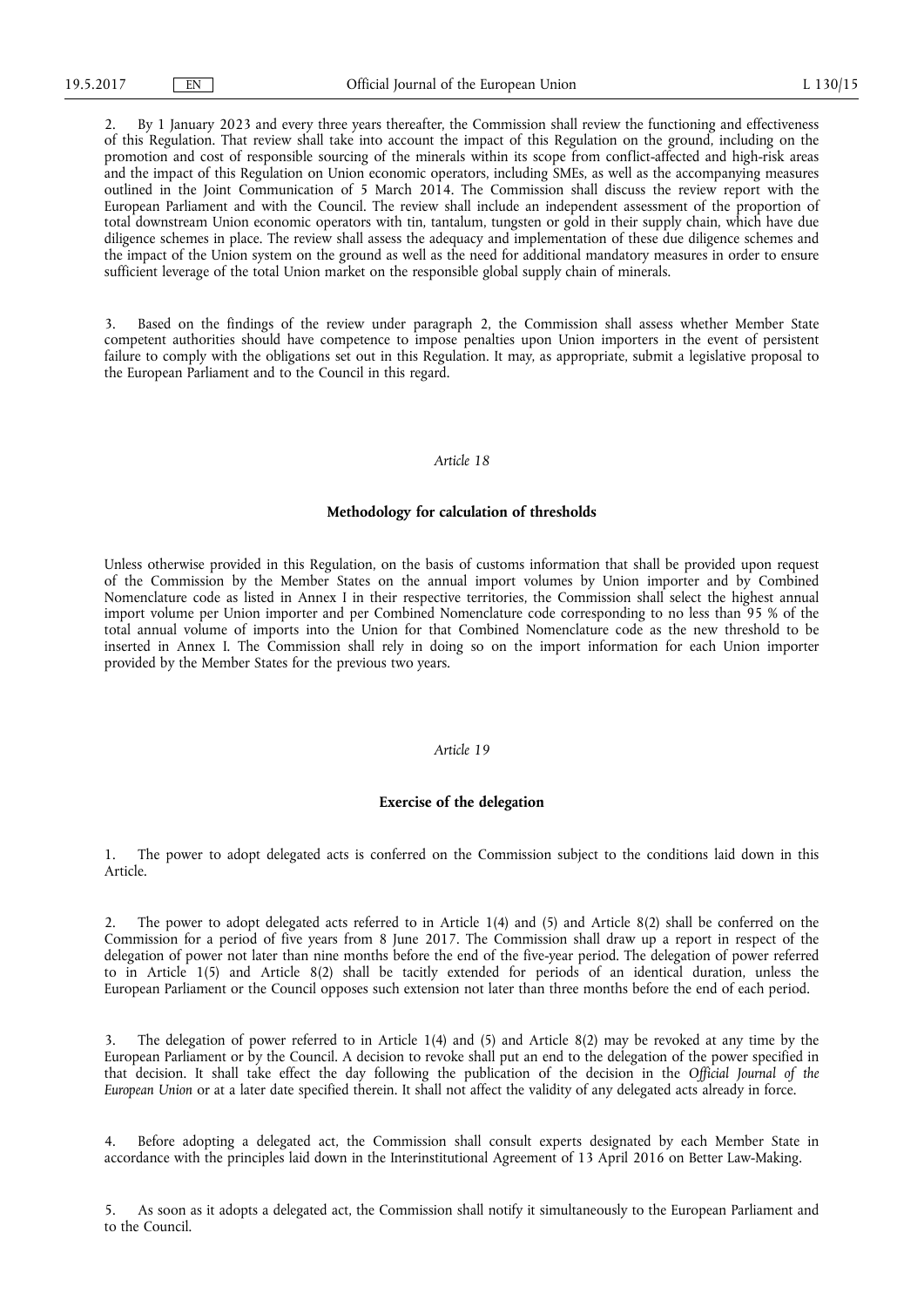2. By 1 January 2023 and every three years thereafter, the Commission shall review the functioning and effectiveness of this Regulation. That review shall take into account the impact of this Regulation on the ground, including on the promotion and cost of responsible sourcing of the minerals within its scope from conflict-affected and high-risk areas and the impact of this Regulation on Union economic operators, including SMEs, as well as the accompanying measures outlined in the Joint Communication of 5 March 2014. The Commission shall discuss the review report with the European Parliament and with the Council. The review shall include an independent assessment of the proportion of total downstream Union economic operators with tin, tantalum, tungsten or gold in their supply chain, which have due diligence schemes in place. The review shall assess the adequacy and implementation of these due diligence schemes and the impact of the Union system on the ground as well as the need for additional mandatory measures in order to ensure sufficient leverage of the total Union market on the responsible global supply chain of minerals.

3. Based on the findings of the review under paragraph 2, the Commission shall assess whether Member State competent authorities should have competence to impose penalties upon Union importers in the event of persistent failure to comply with the obligations set out in this Regulation. It may, as appropriate, submit a legislative proposal to the European Parliament and to the Council in this regard.

#### *Article 18*

#### **Methodology for calculation of thresholds**

Unless otherwise provided in this Regulation, on the basis of customs information that shall be provided upon request of the Commission by the Member States on the annual import volumes by Union importer and by Combined Nomenclature code as listed in Annex I in their respective territories, the Commission shall select the highest annual import volume per Union importer and per Combined Nomenclature code corresponding to no less than 95 % of the total annual volume of imports into the Union for that Combined Nomenclature code as the new threshold to be inserted in Annex I. The Commission shall rely in doing so on the import information for each Union importer provided by the Member States for the previous two years.

#### *Article 19*

#### **Exercise of the delegation**

1. The power to adopt delegated acts is conferred on the Commission subject to the conditions laid down in this Article.

2. The power to adopt delegated acts referred to in Article 1(4) and (5) and Article 8(2) shall be conferred on the Commission for a period of five years from 8 June 2017. The Commission shall draw up a report in respect of the delegation of power not later than nine months before the end of the five-year period. The delegation of power referred to in Article 1(5) and Article 8(2) shall be tacitly extended for periods of an identical duration, unless the European Parliament or the Council opposes such extension not later than three months before the end of each period.

3. The delegation of power referred to in Article 1(4) and (5) and Article 8(2) may be revoked at any time by the European Parliament or by the Council. A decision to revoke shall put an end to the delegation of the power specified in that decision. It shall take effect the day following the publication of the decision in the *Official Journal of the European Union* or at a later date specified therein. It shall not affect the validity of any delegated acts already in force.

4. Before adopting a delegated act, the Commission shall consult experts designated by each Member State in accordance with the principles laid down in the Interinstitutional Agreement of 13 April 2016 on Better Law-Making.

5. As soon as it adopts a delegated act, the Commission shall notify it simultaneously to the European Parliament and to the Council.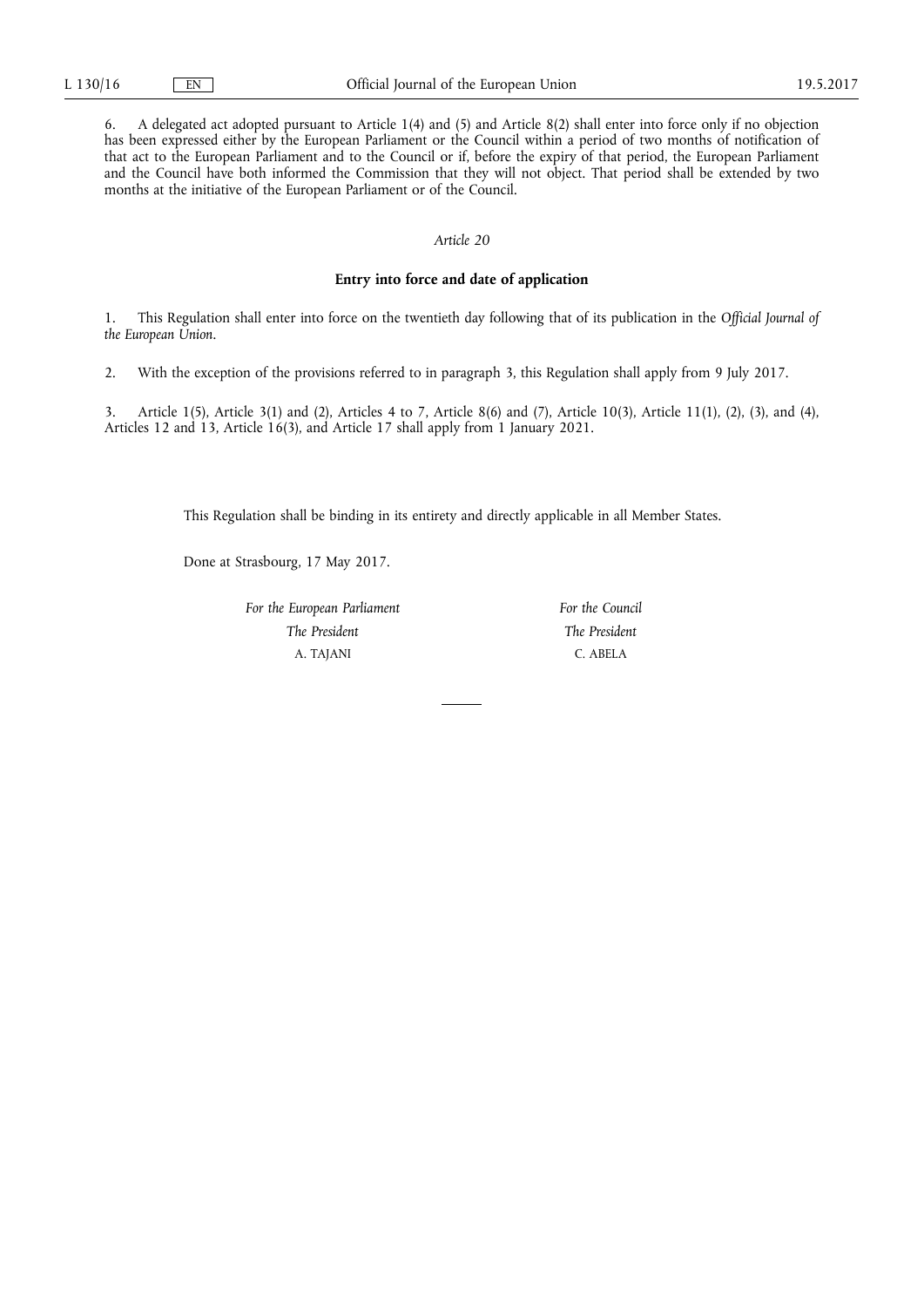6. A delegated act adopted pursuant to Article 1(4) and (5) and Article 8(2) shall enter into force only if no objection has been expressed either by the European Parliament or the Council within a period of two months of notification of that act to the European Parliament and to the Council or if, before the expiry of that period, the European Parliament and the Council have both informed the Commission that they will not object. That period shall be extended by two months at the initiative of the European Parliament or of the Council.

#### *Article 20*

## **Entry into force and date of application**

1. This Regulation shall enter into force on the twentieth day following that of its publication in the *Official Journal of the European Union*.

2. With the exception of the provisions referred to in paragraph 3, this Regulation shall apply from 9 July 2017.

3. Article 1(5), Article 3(1) and (2), Articles 4 to 7, Article 8(6) and (7), Article 10(3), Article 11(1), (2), (3), and (4), Articles 12 and 13, Article 16(3), and Article 17 shall apply from 1 January 2021.

This Regulation shall be binding in its entirety and directly applicable in all Member States.

Done at Strasbourg, 17 May 2017.

*For the European Parliament The President*  A. TAJANI

*For the Council The President*  C. ABELA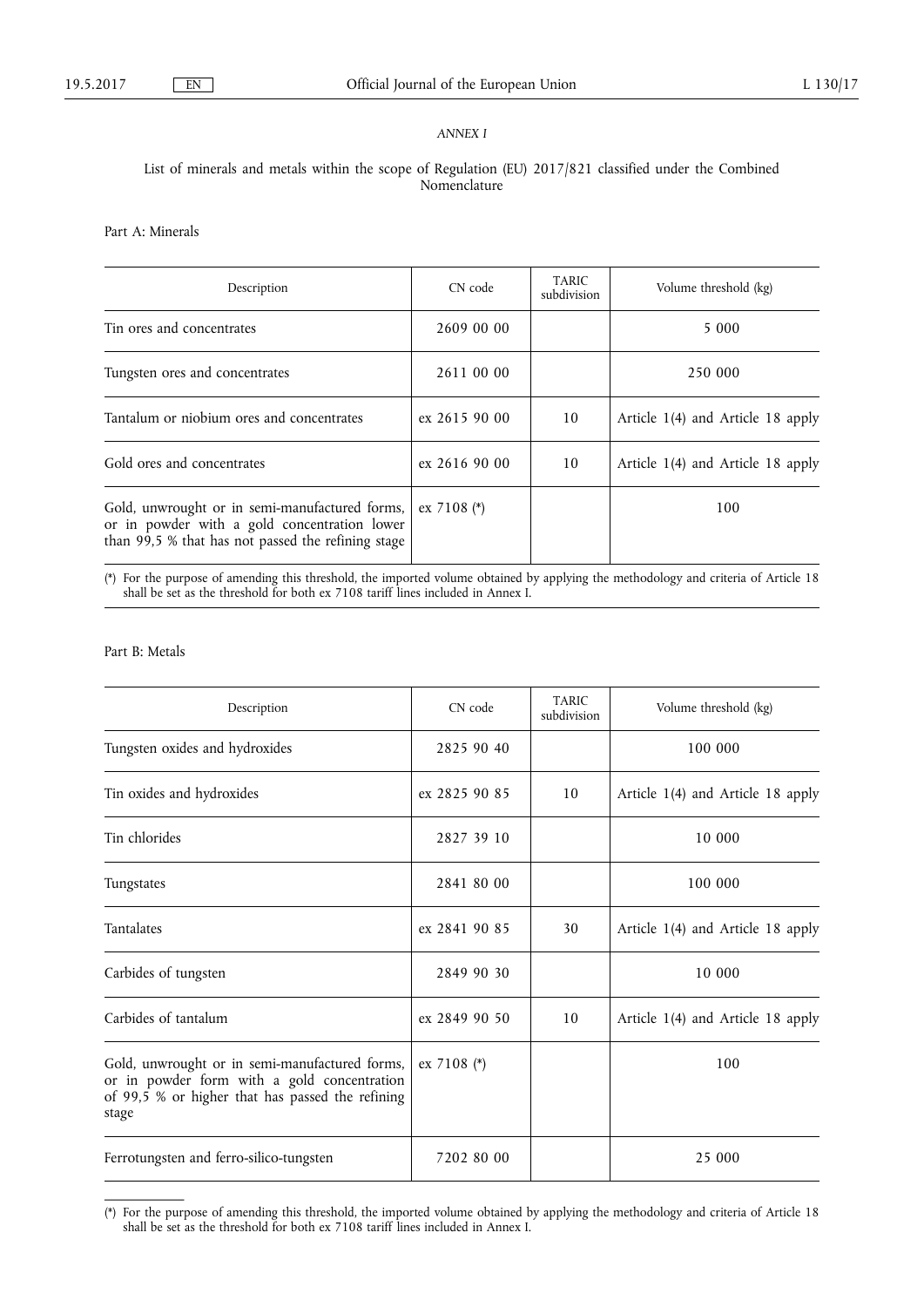## *ANNEX I*

## List of minerals and metals within the scope of Regulation (EU) 2017/821 classified under the Combined Nomenclature

Part A: Minerals

| Description                                                                                                                                          | CN code       | TARIC<br>subdivision | Volume threshold (kg)             |
|------------------------------------------------------------------------------------------------------------------------------------------------------|---------------|----------------------|-----------------------------------|
| Tin ores and concentrates                                                                                                                            | 2609 00 00    |                      | 5 0 0 0                           |
| Tungsten ores and concentrates                                                                                                                       | 2611 00 00    |                      | 250 000                           |
| Tantalum or niobium ores and concentrates                                                                                                            | ex 2615 90 00 | 10                   | Article 1(4) and Article 18 apply |
| Gold ores and concentrates                                                                                                                           | ex 2616 90 00 | 10                   | Article 1(4) and Article 18 apply |
| Gold, unwrought or in semi-manufactured forms,<br>or in powder with a gold concentration lower<br>than 99,5 % that has not passed the refining stage | ex 7108 $(*)$ |                      | 100                               |

(\*) For the purpose of amending this threshold, the imported volume obtained by applying the methodology and criteria of Article 18 shall be set as the threshold for both ex 7108 tariff lines included in Annex I.

## Part B: Metals

| Description                                                                                                                                                | CN code       | <b>TARIC</b><br>subdivision | Volume threshold (kg)             |
|------------------------------------------------------------------------------------------------------------------------------------------------------------|---------------|-----------------------------|-----------------------------------|
| Tungsten oxides and hydroxides                                                                                                                             | 2825 90 40    |                             | 100 000                           |
| Tin oxides and hydroxides                                                                                                                                  | ex 2825 90 85 | 10                          | Article 1(4) and Article 18 apply |
| Tin chlorides                                                                                                                                              | 2827 39 10    |                             | 10 000                            |
| Tungstates                                                                                                                                                 | 2841 80 00    |                             | 100 000                           |
| Tantalates                                                                                                                                                 | ex 2841 90 85 | 30                          | Article 1(4) and Article 18 apply |
| Carbides of tungsten                                                                                                                                       | 2849 90 30    |                             | 10 000                            |
| Carbides of tantalum                                                                                                                                       | ex 2849 90 50 | 10                          | Article 1(4) and Article 18 apply |
| Gold, unwrought or in semi-manufactured forms,<br>or in powder form with a gold concentration<br>of 99,5 % or higher that has passed the refining<br>stage | ex 7108 (*)   |                             | 100                               |
| Ferrotungsten and ferro-silico-tungsten                                                                                                                    | 7202 80 00    |                             | 25 000                            |

<sup>(\*)</sup> For the purpose of amending this threshold, the imported volume obtained by applying the methodology and criteria of Article 18 shall be set as the threshold for both ex 7108 tariff lines included in Annex I.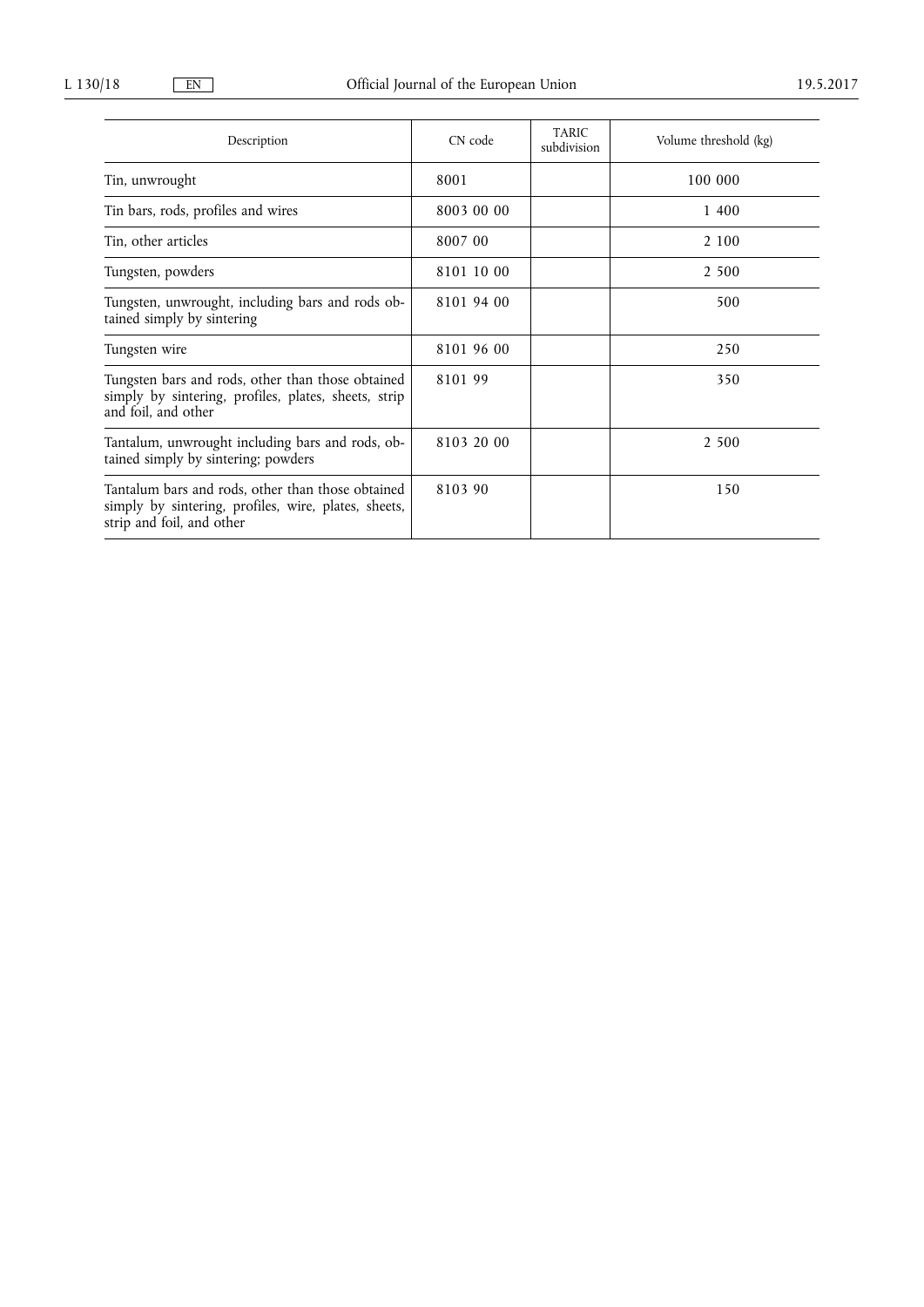| Description                                                                                                                            | CN code    | <b>TARIC</b><br>subdivision | Volume threshold (kg) |
|----------------------------------------------------------------------------------------------------------------------------------------|------------|-----------------------------|-----------------------|
| Tin, unwrought                                                                                                                         | 8001       |                             | 100 000               |
| Tin bars, rods, profiles and wires                                                                                                     | 8003 00 00 |                             | 1 400                 |
| Tin, other articles                                                                                                                    | 8007 00    |                             | 2 100                 |
| Tungsten, powders                                                                                                                      | 8101 10 00 |                             | 2 500                 |
| Tungsten, unwrought, including bars and rods ob-<br>tained simply by sintering                                                         | 8101 94 00 |                             | 500                   |
| Tungsten wire                                                                                                                          | 8101 96 00 |                             | 250                   |
| Tungsten bars and rods, other than those obtained<br>simply by sintering, profiles, plates, sheets, strip<br>and foil, and other       | 8101 99    |                             | 350                   |
| Tantalum, unwrought including bars and rods, ob-<br>tained simply by sintering; powders                                                | 8103 20 00 |                             | 2 500                 |
| Tantalum bars and rods, other than those obtained<br>simply by sintering, profiles, wire, plates, sheets,<br>strip and foil, and other | 8103 90    | 150                         |                       |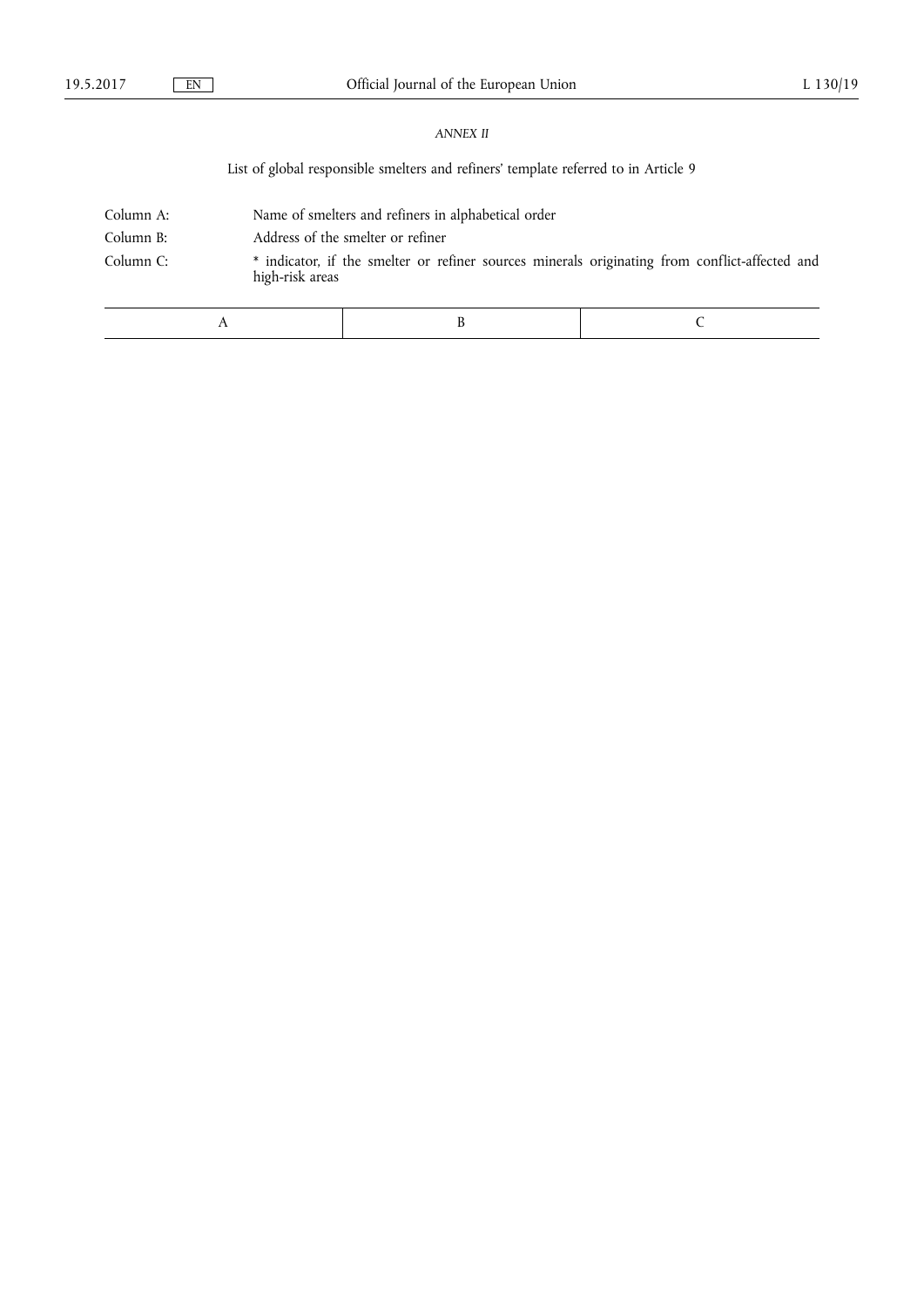## *ANNEX II*

List of global responsible smelters and refiners' template referred to in Article 9

| Column A: |                 | Name of smelters and refiners in alphabetical order                                            |  |  |  |
|-----------|-----------------|------------------------------------------------------------------------------------------------|--|--|--|
| Column B: |                 | Address of the smelter or refiner                                                              |  |  |  |
| Column C: | high-risk areas | * indicator, if the smelter or refiner sources minerals originating from conflict-affected and |  |  |  |
|           |                 |                                                                                                |  |  |  |